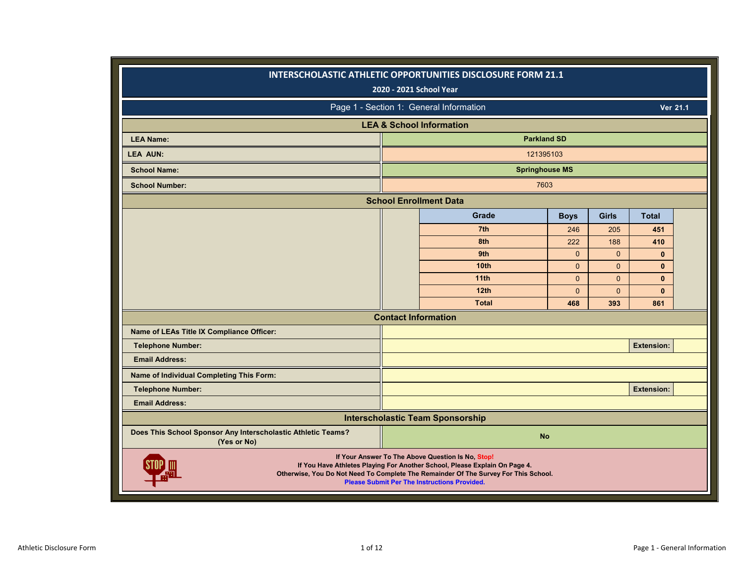|                                                                                                                                                                                                                                                                               | INTERSCHOLASTIC ATHLETIC OPPORTUNITIES DISCLOSURE FORM 21.1<br>2020 - 2021 School Year |                |              |                   |  |  |  |  |  |  |
|-------------------------------------------------------------------------------------------------------------------------------------------------------------------------------------------------------------------------------------------------------------------------------|----------------------------------------------------------------------------------------|----------------|--------------|-------------------|--|--|--|--|--|--|
|                                                                                                                                                                                                                                                                               | Page 1 - Section 1: General Information                                                |                |              | Ver 21.1          |  |  |  |  |  |  |
|                                                                                                                                                                                                                                                                               | <b>LEA &amp; School Information</b>                                                    |                |              |                   |  |  |  |  |  |  |
| <b>LEA Name:</b>                                                                                                                                                                                                                                                              | <b>Parkland SD</b>                                                                     |                |              |                   |  |  |  |  |  |  |
| <b>LEA AUN:</b>                                                                                                                                                                                                                                                               | 121395103                                                                              |                |              |                   |  |  |  |  |  |  |
| <b>School Name:</b>                                                                                                                                                                                                                                                           | <b>Springhouse MS</b>                                                                  |                |              |                   |  |  |  |  |  |  |
| <b>School Number:</b>                                                                                                                                                                                                                                                         | 7603                                                                                   |                |              |                   |  |  |  |  |  |  |
|                                                                                                                                                                                                                                                                               | <b>School Enrollment Data</b>                                                          |                |              |                   |  |  |  |  |  |  |
|                                                                                                                                                                                                                                                                               | Grade                                                                                  | <b>Boys</b>    | <b>Girls</b> | <b>Total</b>      |  |  |  |  |  |  |
|                                                                                                                                                                                                                                                                               | 7th                                                                                    | 246            | 205          | 451               |  |  |  |  |  |  |
|                                                                                                                                                                                                                                                                               | 8th                                                                                    | 222            | 188          | 410               |  |  |  |  |  |  |
|                                                                                                                                                                                                                                                                               | 9th                                                                                    | $\mathbf{0}$   | $\mathbf{0}$ | $\mathbf{0}$      |  |  |  |  |  |  |
|                                                                                                                                                                                                                                                                               | 10 <sub>th</sub>                                                                       | $\mathbf{0}$   | $\mathbf{0}$ | $\mathbf{0}$      |  |  |  |  |  |  |
|                                                                                                                                                                                                                                                                               | 11th                                                                                   | $\Omega$       | $\mathbf{0}$ | $\mathbf{0}$      |  |  |  |  |  |  |
|                                                                                                                                                                                                                                                                               | 12th                                                                                   | $\overline{0}$ | $\Omega$     | $\mathbf{0}$      |  |  |  |  |  |  |
|                                                                                                                                                                                                                                                                               | <b>Total</b>                                                                           | 468            | 393          | 861               |  |  |  |  |  |  |
|                                                                                                                                                                                                                                                                               | <b>Contact Information</b>                                                             |                |              |                   |  |  |  |  |  |  |
| Name of LEAs Title IX Compliance Officer:                                                                                                                                                                                                                                     |                                                                                        |                |              |                   |  |  |  |  |  |  |
| <b>Telephone Number:</b>                                                                                                                                                                                                                                                      |                                                                                        |                |              | <b>Extension:</b> |  |  |  |  |  |  |
| <b>Email Address:</b>                                                                                                                                                                                                                                                         |                                                                                        |                |              |                   |  |  |  |  |  |  |
| Name of Individual Completing This Form:                                                                                                                                                                                                                                      |                                                                                        |                |              |                   |  |  |  |  |  |  |
| <b>Telephone Number:</b>                                                                                                                                                                                                                                                      |                                                                                        |                |              | <b>Extension:</b> |  |  |  |  |  |  |
| <b>Email Address:</b>                                                                                                                                                                                                                                                         |                                                                                        |                |              |                   |  |  |  |  |  |  |
|                                                                                                                                                                                                                                                                               | <b>Interscholastic Team Sponsorship</b>                                                |                |              |                   |  |  |  |  |  |  |
| Does This School Sponsor Any Interscholastic Athletic Teams?<br>(Yes or No)                                                                                                                                                                                                   | <b>No</b>                                                                              |                |              |                   |  |  |  |  |  |  |
| If Your Answer To The Above Question Is No, Stop!<br>If You Have Athletes Playing For Another School, Please Explain On Page 4.<br>Otherwise, You Do Not Need To Complete The Remainder Of The Survey For This School.<br><b>Please Submit Per The Instructions Provided.</b> |                                                                                        |                |              |                   |  |  |  |  |  |  |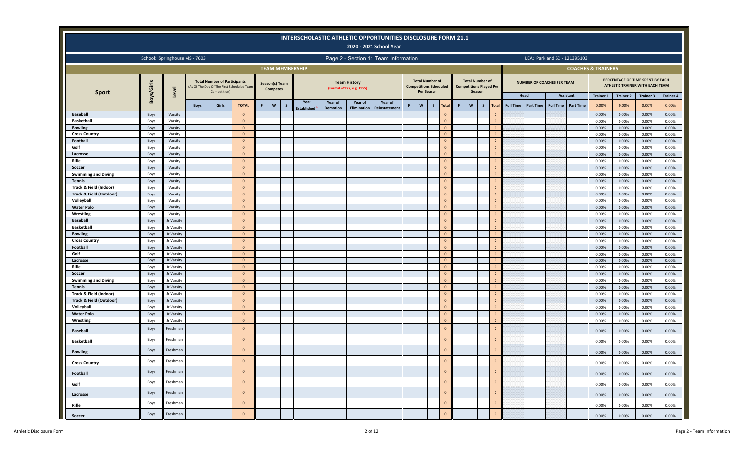|                                    |              |                               |             |                                                     |                                           |    |                                   |                        | INTERSCHOLASTIC ATHLETIC OPPORTUNITIES DISCLOSURE FORM 21.1 |                                                   | 2020 - 2021 School Year              |    |                                      |                               |   |                                                                    |              |                            |                  |                  |                                   |                              |                               |                           |                                                                                  |                  |
|------------------------------------|--------------|-------------------------------|-------------|-----------------------------------------------------|-------------------------------------------|----|-----------------------------------|------------------------|-------------------------------------------------------------|---------------------------------------------------|--------------------------------------|----|--------------------------------------|-------------------------------|---|--------------------------------------------------------------------|--------------|----------------------------|------------------|------------------|-----------------------------------|------------------------------|-------------------------------|---------------------------|----------------------------------------------------------------------------------|------------------|
|                                    |              | School: Springhouse MS - 7603 |             |                                                     |                                           |    |                                   |                        |                                                             |                                                   | Page 2 - Section 1: Team Information |    |                                      |                               |   |                                                                    |              |                            |                  |                  |                                   | LEA: Parkland SD - 121395103 |                               |                           |                                                                                  |                  |
|                                    |              |                               |             |                                                     |                                           |    |                                   | <b>TEAM MEMBERSHIP</b> |                                                             |                                                   |                                      |    |                                      |                               |   |                                                                    |              |                            |                  |                  |                                   |                              | <b>COACHES &amp; TRAINERS</b> |                           |                                                                                  |                  |
| <b>Sport</b>                       | Boys/Girls   | Level                         |             | <b>Total Number of Participants</b><br>Competition) | As Of The Day Of The First Scheduled Team |    | Season(s) Team<br><b>Competes</b> |                        |                                                             | <b>Team History</b><br>(Format = YYYY, e.g. 1955) |                                      |    | <b>Total Number of</b><br>Per Season | <b>Competitions Scheduled</b> |   | <b>Total Number of</b><br><b>Competitions Played Per</b><br>Season |              |                            | Head             |                  | <b>NUMBER OF COACHES PER TEAM</b> | Assistant                    |                               |                           | PERCENTAGE OF TIME SPENT BY EACH<br>ATHLETIC TRAINER WITH EACH TEAM<br>Trainer 3 | <b>Trainer 4</b> |
|                                    |              |                               | <b>Boys</b> | Girls                                               | <b>TOTAL</b>                              | F. | $\mathsf{w}$<br>s                 | Year<br>Established    | Year of<br><b>Demotion</b>                                  | Year of<br><b>Elimination</b>                     | Year of<br>einstatemen               | F. | W                                    | $\mathsf{s}$<br><b>Total</b>  | F | $\boldsymbol{\mathsf{w}}$                                          | $\mathsf{s}$ | <b>Total</b>               | <b>Full Time</b> | <b>Part Time</b> | <b>Full Time</b>                  | <b>Part Time</b>             | <b>Trainer 1</b><br>0.00%     | <b>Trainer 2</b><br>0.00% | 0.00%                                                                            | 0.00%            |
| <b>Baseball</b>                    | Boys         | Varsity                       |             |                                                     | $\Omega$                                  |    |                                   |                        |                                                             |                                                   |                                      |    |                                      | $\mathbf{0}$                  |   |                                                                    |              | $\Omega$                   |                  |                  |                                   |                              | 0.00%                         | 0.00%                     | 0.00%                                                                            | 0.00%            |
| <b>Basketball</b>                  | Boys         | Varsity                       |             |                                                     | $\mathbf{0}$                              |    |                                   |                        |                                                             |                                                   |                                      |    |                                      | $\mathbf{0}$                  |   |                                                                    |              | $\Omega$                   |                  |                  |                                   |                              | 0.00%                         | 0.00%                     | 0.00%                                                                            | 0.00%            |
| <b>Bowling</b>                     | Boys         | Varsity                       |             |                                                     | $\mathbf{0}$                              |    |                                   |                        |                                                             |                                                   |                                      |    |                                      | $\mathbf{0}$                  |   |                                                                    |              | $\Omega$                   |                  |                  |                                   |                              | 0.00%                         | 0.00%                     | 0.00%                                                                            | 0.00%            |
| <b>Cross Country</b>               | Boys         | Varsity                       |             |                                                     | $\mathbf{0}$                              |    |                                   |                        |                                                             |                                                   |                                      |    |                                      | $\mathbf{0}$                  |   |                                                                    |              | $\overline{0}$             |                  |                  |                                   |                              | 0.00%                         | 0.00%                     | 0.00%                                                                            | 0.00%            |
| Football                           | Boys         | Varsity                       |             |                                                     | $\mathbf{0}$                              |    |                                   |                        |                                                             |                                                   |                                      |    |                                      | $\mathbf{0}$                  |   |                                                                    |              | $\Omega$                   |                  |                  |                                   |                              | 0.00%                         | 0.00%                     | 0.00%                                                                            | 0.00%            |
| Golf                               | Boys         | Varsity                       |             |                                                     | $\mathbf{0}$                              |    |                                   |                        |                                                             |                                                   |                                      |    |                                      | $\mathbf{0}$                  |   |                                                                    |              | $\overline{0}$             |                  |                  |                                   |                              | 0.00%                         | 0.00%                     | 0.00%                                                                            | 0.00%            |
| Lacrosse                           | Boys         | Varsity                       |             |                                                     | $\mathbf{0}$                              |    |                                   |                        |                                                             |                                                   |                                      |    |                                      | $\mathbf{0}$                  |   |                                                                    |              | $\Omega$                   |                  |                  |                                   |                              | 0.00%                         | 0.00%                     | 0.00%                                                                            | 0.00%            |
| Rifle                              | Boys         | Varsity                       |             |                                                     | $\mathbf{0}$                              |    |                                   |                        |                                                             |                                                   |                                      |    |                                      | $\mathbf{0}$                  |   |                                                                    |              | $\overline{0}$             |                  |                  |                                   |                              | 0.00%                         | 0.00%                     | 0.00%                                                                            | 0.00%            |
| Soccer                             | Boys         | Varsity                       |             |                                                     | $\mathbf{0}$                              |    |                                   |                        |                                                             |                                                   |                                      |    |                                      | $\mathbf{0}$                  |   |                                                                    |              | $\Omega$                   |                  |                  |                                   |                              | 0.00%                         | 0.00%                     | 0.00%                                                                            | 0.00%            |
| <b>Swimming and Diving</b>         | Boys         | Varsity                       |             |                                                     | $\mathbf{0}$                              |    |                                   |                        |                                                             |                                                   |                                      |    |                                      | $\mathbf{0}$                  |   |                                                                    |              | $\overline{0}$             |                  |                  |                                   |                              | 0.00%                         | 0.00%                     | 0.00%                                                                            | 0.00%            |
| <b>Tennis</b>                      | Boys         | Varsity                       |             |                                                     | $\mathbf{0}$                              |    |                                   |                        |                                                             |                                                   |                                      |    |                                      | $\mathbf{0}$                  |   |                                                                    |              | $\Omega$                   |                  |                  |                                   |                              | 0.00%                         | 0.00%                     | 0.00%                                                                            | 0.00%            |
| Track & Field (Indoor)             | Boys         | Varsity                       |             |                                                     | $\mathbf{0}$                              |    |                                   |                        |                                                             |                                                   |                                      |    |                                      | $\mathbf{0}$<br>$\mathbf{0}$  |   |                                                                    |              | $\overline{0}$<br>$\Omega$ |                  |                  |                                   |                              | 0.00%                         | 0.00%                     | 0.00%                                                                            | 0.00%            |
| Track & Field (Outdoor)            | Boys         | Varsity<br>Varsity            |             |                                                     | $\mathbf{0}$<br>$\mathbf{0}$              |    |                                   |                        |                                                             |                                                   |                                      |    |                                      | $\mathbf{0}$                  |   |                                                                    |              | $\overline{0}$             |                  |                  |                                   |                              | 0.00%                         | 0.00%                     | 0.00%                                                                            | 0.00%            |
| Volleyball<br><b>Water Polo</b>    | Boys<br>Boys | Varsity                       |             |                                                     | $\mathbf{0}$                              |    |                                   |                        |                                                             |                                                   |                                      |    |                                      | $\mathbf{0}$                  |   |                                                                    |              | $\Omega$                   |                  |                  |                                   |                              | 0.00%<br>0.00%                | 0.00%                     | 0.00%<br>0.00%                                                                   | 0.00%<br>0.00%   |
| Wrestling                          | Boys         | Varsity                       |             |                                                     | $\mathbf{0}$                              |    |                                   |                        |                                                             |                                                   |                                      |    |                                      | $\mathbf{0}$                  |   |                                                                    |              | $\overline{0}$             |                  |                  |                                   |                              | 0.00%                         | 0.00%<br>0.00%            | 0.00%                                                                            | 0.00%            |
| <b>Baseball</b>                    | Boys         | Jr Varsity                    |             |                                                     | $\mathbf{0}$                              |    |                                   |                        |                                                             |                                                   |                                      |    |                                      | $\mathbf{0}$                  |   |                                                                    |              | $\Omega$                   |                  |                  |                                   |                              | 0.00%                         | 0.00%                     | 0.00%                                                                            | 0.00%            |
| <b>Basketball</b>                  | Boys         | Jr Varsity                    |             |                                                     | $\mathbf{0}$                              |    |                                   |                        |                                                             |                                                   |                                      |    |                                      | $\mathbf{0}$                  |   |                                                                    |              | $\overline{0}$             |                  |                  |                                   |                              | 0.00%                         | 0.00%                     | 0.00%                                                                            | 0.00%            |
| <b>Bowling</b>                     | Boys         | Jr Varsity                    |             |                                                     | $\mathbf{0}$                              |    |                                   |                        |                                                             |                                                   |                                      |    |                                      | $\mathbf{0}$                  |   |                                                                    |              | $\Omega$                   |                  |                  |                                   |                              | 0.00%                         | 0.00%                     | 0.00%                                                                            | 0.00%            |
| <b>Cross Country</b>               | Boys         | Jr Varsity                    |             |                                                     | $\mathbf{0}$                              |    |                                   |                        |                                                             |                                                   |                                      |    |                                      | $\mathbf{0}$                  |   |                                                                    |              | $\overline{0}$             |                  |                  |                                   |                              | 0.00%                         | 0.00%                     | 0.00%                                                                            | 0.00%            |
| Football                           | Boys         | Jr Varsity                    |             |                                                     | $\mathbf{0}$                              |    |                                   |                        |                                                             |                                                   |                                      |    |                                      | $\mathbf{0}$                  |   |                                                                    |              | $\Omega$                   |                  |                  |                                   |                              | 0.00%                         | 0.00%                     | 0.00%                                                                            | 0.00%            |
| Golf                               | Boys         | Jr Varsity                    |             |                                                     | $\mathbf{0}$                              |    |                                   |                        |                                                             |                                                   |                                      |    |                                      | $\mathbf{0}$                  |   |                                                                    |              | $\overline{0}$             |                  |                  |                                   |                              | 0.00%                         | 0.00%                     | 0.00%                                                                            | 0.00%            |
| Lacrosse                           | Boys         | Jr Varsity                    |             |                                                     | $\mathbf{0}$                              |    |                                   |                        |                                                             |                                                   |                                      |    |                                      | $\mathbf{0}$                  |   |                                                                    |              | $\Omega$                   |                  |                  |                                   |                              | 0.00%                         | 0.00%                     | 0.00%                                                                            | 0.00%            |
| Rifle                              | Boys         | Jr Varsity                    |             |                                                     | $\mathbf{0}$                              |    |                                   |                        |                                                             |                                                   |                                      |    |                                      | $\mathbf{0}$                  |   |                                                                    |              | $\overline{0}$             |                  |                  |                                   |                              | 0.00%                         | 0.00%                     | 0.00%                                                                            | 0.00%            |
| Soccer                             | Boys         | Jr Varsity                    |             |                                                     | $\mathbf{0}$                              |    |                                   |                        |                                                             |                                                   |                                      |    |                                      | $\mathbf{0}$                  |   |                                                                    |              | $\Omega$                   |                  |                  |                                   |                              | 0.00%                         | 0.00%                     | 0.00%                                                                            | 0.00%            |
| <b>Swimming and Diving</b>         | Boys         | Jr Varsity                    |             |                                                     | $\mathbf{0}$                              |    |                                   |                        |                                                             |                                                   |                                      |    |                                      | $\mathbf{0}$                  |   |                                                                    |              | $\overline{0}$             |                  |                  |                                   |                              | 0.00%                         | 0.00%                     | 0.00%                                                                            | 0.00%            |
| <b>Tennis</b>                      | Boys         | Jr Varsity                    |             |                                                     | $\mathbf{0}$                              |    |                                   |                        |                                                             |                                                   |                                      |    |                                      | $\mathbf{0}$                  |   |                                                                    |              | $\Omega$                   |                  |                  |                                   |                              | 0.00%                         | 0.00%                     | 0.00%                                                                            | 0.00%            |
| Track & Field (Indoor)             | Boys         | Jr Varsity                    |             |                                                     | $\mathbf{0}$                              |    |                                   |                        |                                                             |                                                   |                                      |    |                                      | $\mathbf{0}$                  |   |                                                                    |              | $\overline{0}$             |                  |                  |                                   |                              | 0.00%                         | 0.00%                     | 0.00%                                                                            | 0.00%            |
| <b>Track &amp; Field (Outdoor)</b> | Boys         | Jr Varsity                    |             |                                                     | $\mathbf{0}$                              |    |                                   |                        |                                                             |                                                   |                                      |    |                                      | $\mathbf{0}$                  |   |                                                                    |              | $\Omega$                   |                  |                  |                                   |                              | 0.00%                         | 0.00%                     | 0.00%                                                                            | 0.00%            |
| Volleyball                         | Boys         | Jr Varsity                    |             |                                                     | $\mathbf{0}$                              |    |                                   |                        |                                                             |                                                   |                                      |    |                                      | $\mathbf{0}$                  |   |                                                                    |              | $\overline{0}$             |                  |                  |                                   |                              | 0.00%                         | 0.00%                     | 0.00%                                                                            | 0.00%            |
| <b>Water Polo</b>                  | Boys         | Jr Varsity                    |             |                                                     | $\mathbf{0}$                              |    |                                   |                        |                                                             |                                                   |                                      |    |                                      | $\mathbf{0}$                  |   |                                                                    |              | $\Omega$                   |                  |                  |                                   |                              | 0.00%                         | 0.00%                     | 0.00%                                                                            | 0.00%            |
| Wrestling                          | Boys         | Jr Varsity                    |             |                                                     | $\mathbf{0}$                              |    |                                   |                        |                                                             |                                                   |                                      |    |                                      | $\mathbf{0}$                  |   |                                                                    |              | $\mathbf{0}$               |                  |                  |                                   |                              | 0.00%                         | 0.00%                     | 0.00%                                                                            | 0.00%            |
| <b>Baseball</b>                    | Boys         | Freshman                      |             |                                                     | $\mathbf{0}$                              |    |                                   |                        |                                                             |                                                   |                                      |    |                                      | $\mathbf{0}$                  |   |                                                                    |              | $\mathbf{0}$               |                  |                  |                                   |                              | 0.00%                         | 0.00%                     | 0.00%                                                                            | 0.00%            |
| <b>Basketball</b>                  | Boys         | Freshman                      |             |                                                     | $\Omega$                                  |    |                                   |                        |                                                             |                                                   |                                      |    |                                      | $\mathbf{0}$                  |   |                                                                    |              | $\mathbf{0}$               |                  |                  |                                   |                              | 0.00%                         | 0.00%                     | 0.00%                                                                            | 0.00%            |
| <b>Bowling</b>                     | Boys         | Freshman                      |             |                                                     | $\Omega$                                  |    |                                   |                        |                                                             |                                                   |                                      |    |                                      | $\mathbf{0}$                  |   |                                                                    |              | $\mathbf{0}$               |                  |                  |                                   |                              | 0.00%                         | 0.00%                     | 0.00%                                                                            | 0.00%            |
| <b>Cross Country</b>               | Boys         | Freshman                      |             |                                                     | $\circ$                                   |    |                                   |                        |                                                             |                                                   |                                      |    |                                      | $\mathbf 0$                   |   |                                                                    |              | 0                          |                  |                  |                                   |                              | 0.00%                         | 0.00%                     | 0.00%                                                                            | 0.00%            |
| Football                           | Boys         | Freshman                      |             |                                                     | $\mathbf{0}$                              |    |                                   |                        |                                                             |                                                   |                                      |    |                                      | $\mathbf{0}$                  |   |                                                                    |              | $\mathbf 0$                |                  |                  |                                   |                              | 0.00%                         | 0.00%                     | 0.00%                                                                            | 0.00%            |
| Golf                               | Boys         | Freshman                      |             |                                                     | $\mathbf{0}$                              |    |                                   |                        |                                                             |                                                   |                                      |    |                                      | $\mathbf{0}$                  |   |                                                                    |              | $\mathbf{0}$               |                  |                  |                                   |                              | 0.00%                         | 0.00%                     | 0.00%                                                                            | 0.00%            |
| Lacrosse                           | Boys         | Freshman                      |             |                                                     | $\mathbf{0}$                              |    |                                   |                        |                                                             |                                                   |                                      |    |                                      | $\mathbf{0}$                  |   |                                                                    |              | $\mathbf 0$                |                  |                  |                                   |                              | 0.00%                         | 0.00%                     | 0.00%                                                                            | 0.00%            |
| Rifle                              | Boys         | Freshman                      |             |                                                     | $\mathbf{0}$                              |    |                                   |                        |                                                             |                                                   |                                      |    |                                      | $\mathbf 0$                   |   |                                                                    |              | $\mathbf{0}$               |                  |                  |                                   |                              | 0.00%                         | 0.00%                     | 0.00%                                                                            | 0.00%            |
| Soccer                             | Boys         | Freshman                      |             |                                                     | $\mathbf{0}$                              |    |                                   |                        |                                                             |                                                   |                                      |    |                                      | $\mathbf{0}$                  |   |                                                                    |              | $\mathbf 0$                |                  |                  |                                   |                              | 0.00%                         | 0.00%                     | 0.00%                                                                            | 0.00%            |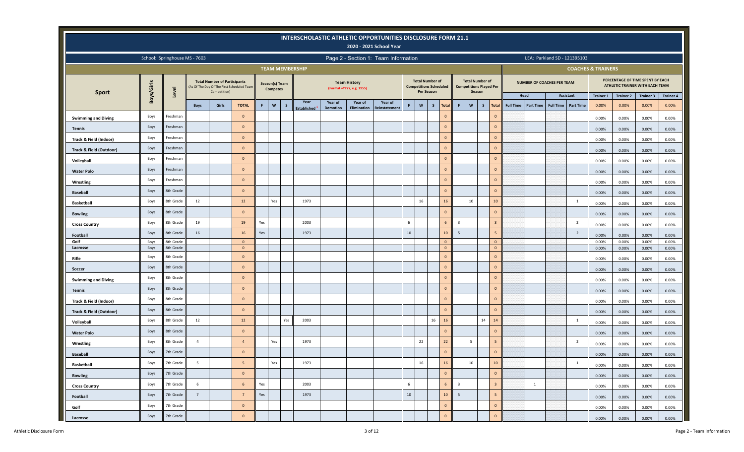|                                    |            |                               |                 |                                                                                                   |                |     |                                   |              |                        |                 |                                                   | INTERSCHOLASTIC ATHLETIC OPPORTUNITIES DISCLOSURE FORM 21.1<br>2020 - 2021 School Year |        |                   |                                                         |                 |                         |                                                                    |                         |                                      |                                      |                               |                  |                                                                     |                  |
|------------------------------------|------------|-------------------------------|-----------------|---------------------------------------------------------------------------------------------------|----------------|-----|-----------------------------------|--------------|------------------------|-----------------|---------------------------------------------------|----------------------------------------------------------------------------------------|--------|-------------------|---------------------------------------------------------|-----------------|-------------------------|--------------------------------------------------------------------|-------------------------|--------------------------------------|--------------------------------------|-------------------------------|------------------|---------------------------------------------------------------------|------------------|
|                                    |            | School: Springhouse MS - 7603 |                 |                                                                                                   |                |     |                                   |              |                        |                 |                                                   | Page 2 - Section 1: Team Information                                                   |        |                   |                                                         |                 |                         |                                                                    |                         |                                      | LEA: Parkland SD - 121395103         |                               |                  |                                                                     |                  |
|                                    |            |                               |                 |                                                                                                   |                |     |                                   |              | <b>TEAM MEMBERSHIP</b> |                 |                                                   |                                                                                        |        |                   |                                                         |                 |                         |                                                                    |                         |                                      |                                      | <b>COACHES &amp; TRAINERS</b> |                  |                                                                     |                  |
| <b>Sport</b>                       | Boys/Girls | Level                         |                 | <b>Total Number of Participants</b><br>(As Of The Day Of The First Scheduled Team<br>Competition) |                |     | Season(s) Team<br><b>Competes</b> |              |                        |                 | <b>Team History</b><br>(Format = YYYY, e.g. 1955) |                                                                                        |        | <b>Per Season</b> | <b>Total Number of</b><br><b>Competitions Scheduled</b> |                 |                         | <b>Total Number of</b><br><b>Competitions Played Per</b><br>Season |                         |                                      | NUMBER OF COACHES PER TEAM           |                               |                  | PERCENTAGE OF TIME SPENT BY EACH<br>ATHLETIC TRAINER WITH EACH TEAM |                  |
|                                    |            |                               |                 |                                                                                                   |                |     |                                   |              | Year                   | Year of         | Year of                                           | Year of                                                                                |        |                   |                                                         |                 |                         |                                                                    |                         | Head                                 | <b>Assistant</b>                     | <b>Trainer 1</b>              | <b>Trainer 2</b> | <b>Trainer 3</b>                                                    | <b>Trainer 4</b> |
|                                    |            |                               | <b>Boys</b>     | Girls                                                                                             | <b>TOTAL</b>   | F   | $\mathbf{w}$                      | $\mathsf{s}$ | <b>Established</b>     | <b>Demotion</b> | <b>Elimination</b>                                | <b>Reinstatement</b>                                                                   | F.     | W                 | $\mathsf{s}$<br><b>Total</b>                            |                 | F                       | $\boldsymbol{\mathsf{w}}$<br>$\mathsf{s}$                          | <b>Total</b>            | <b>Full Time</b><br><b>Part Time</b> | <b>Part Time</b><br><b>Full Time</b> | 0.00%                         | 0.00%            | 0.00%                                                               | 0.00%            |
| <b>Swimming and Diving</b>         | Boys       | Freshman                      |                 |                                                                                                   | $\mathbf{0}$   |     |                                   |              |                        |                 |                                                   |                                                                                        |        |                   | $\mathbf{0}$                                            |                 |                         |                                                                    | $\mathbf{0}$            |                                      |                                      | 0.00%                         | 0.00%            | 0.00%                                                               | 0.00%            |
| <b>Tennis</b>                      | Boys       | Freshman                      |                 |                                                                                                   | $\mathbf{0}$   |     |                                   |              |                        |                 |                                                   |                                                                                        |        |                   | $\mathbf 0$                                             |                 |                         |                                                                    | $\mathbf{0}$            |                                      |                                      | 0.00%                         | $0.00\%$         | 0.00%                                                               | 0.00%            |
| Track & Field (Indoor)             | Boys       | Freshman                      |                 |                                                                                                   | $\Omega$       |     |                                   |              |                        |                 |                                                   |                                                                                        |        |                   | $\mathsf{O}\xspace$                                     |                 |                         |                                                                    | $\mathbf{0}$            |                                      |                                      | 0.00%                         | 0.00%            | 0.00%                                                               | 0.00%            |
| <b>Track &amp; Field (Outdoor)</b> | Boys       | Freshman                      |                 |                                                                                                   | $\mathbf{0}$   |     |                                   |              |                        |                 |                                                   |                                                                                        |        |                   | $\mathbf 0$                                             |                 |                         |                                                                    | $\mathbf{0}$            |                                      |                                      | 0.00%                         | 0.00%            | 0.00%                                                               | 0.00%            |
| Volleyball                         | Boys       | Freshman                      |                 |                                                                                                   | $\Omega$       |     |                                   |              |                        |                 |                                                   |                                                                                        |        |                   | $\mathsf{O}\xspace$                                     |                 |                         |                                                                    | $\mathbf{0}$            |                                      |                                      | 0.00%                         | 0.00%            | 0.00%                                                               | 0.00%            |
| <b>Water Polo</b>                  | Boys       | Freshman                      |                 |                                                                                                   | $\overline{0}$ |     |                                   |              |                        |                 |                                                   |                                                                                        |        |                   | $\mathbf{0}$                                            |                 |                         |                                                                    | $\mathbf{0}$            |                                      |                                      | 0.00%                         | 0.00%            | 0.00%                                                               | 0.00%            |
| Wrestling                          | Boys       | Freshman                      |                 |                                                                                                   | $\mathbf{0}$   |     |                                   |              |                        |                 |                                                   |                                                                                        |        |                   | $\mathsf{O}\xspace$                                     |                 |                         |                                                                    | $\mathbf{0}$            |                                      |                                      | 0.00%                         | 0.00%            | 0.00%                                                               | 0.00%            |
| <b>Baseball</b>                    | Boys       | 8th Grade                     |                 |                                                                                                   | $\overline{0}$ |     |                                   |              |                        |                 |                                                   |                                                                                        |        |                   | $\mathbf 0$                                             |                 |                         |                                                                    | $\mathbf{0}$            |                                      |                                      | 0.00%                         | 0.00%            | 0.00%                                                               | 0.00%            |
| <b>Basketball</b>                  | Boys       | 8th Grade                     | 12              |                                                                                                   | 12             |     | Yes                               |              | 1973                   |                 |                                                   |                                                                                        |        | 16                | 16                                                      |                 |                         | 10                                                                 | 10 <sup>°</sup>         |                                      | 1                                    | 0.00%                         | 0.00%            | 0.00%                                                               | 0.00%            |
| <b>Bowling</b>                     | Boys       | 8th Grade                     |                 |                                                                                                   | $\Omega$       |     |                                   |              |                        |                 |                                                   |                                                                                        |        |                   | $\mathsf{O}\xspace$                                     |                 |                         |                                                                    | $\mathbf{0}$            |                                      |                                      | 0.00%                         | $0.00\%$         | 0.00%                                                               | 0.00%            |
| <b>Cross Country</b>               | Boys       | 8th Grade                     | 19              |                                                                                                   | 19             | Yes |                                   |              | 2003                   |                 |                                                   |                                                                                        | 6      |                   | 6                                                       |                 | $\overline{3}$          |                                                                    | $\overline{3}$          |                                      | $\overline{2}$                       | 0.00%                         | 0.00%            | 0.00%                                                               | 0.00%            |
| Football                           | Boys       | 8th Grade                     | 16              |                                                                                                   | 16             | Yes |                                   |              | 1973                   |                 |                                                   |                                                                                        | $10\,$ |                   | 10                                                      |                 | 5                       |                                                                    | 5                       |                                      | $\overline{2}$                       | 0.00%                         | 0.00%            | 0.00%                                                               | 0.00%            |
| Golf                               | Boys       | 8th Grade                     |                 |                                                                                                   | $\overline{0}$ |     |                                   |              |                        |                 |                                                   |                                                                                        |        |                   | $\mathbf{0}$                                            |                 |                         |                                                                    | $\overline{0}$          |                                      |                                      | 0.00%                         | 0.00%            | 0.00%                                                               | 0.00%            |
| Lacrosse                           | Boys       | 8th Grade                     |                 |                                                                                                   | $\overline{0}$ |     |                                   |              |                        |                 |                                                   |                                                                                        |        |                   | $\overline{0}$                                          |                 |                         |                                                                    | $\overline{0}$          |                                      |                                      | 0.00%                         | 0.00%            | 0.00%                                                               | 0.00%            |
| Rifle                              | Boys       | 8th Grade                     |                 |                                                                                                   | $\mathbf{0}$   |     |                                   |              |                        |                 |                                                   |                                                                                        |        |                   |                                                         | $\mathbf 0$     |                         |                                                                    | $\mathbf{0}$            |                                      |                                      | 0.00%                         | 0.00%            | 0.00%                                                               | 0.00%            |
| Soccer                             | Boys       | 8th Grade                     |                 |                                                                                                   | $\Omega$       |     |                                   |              |                        |                 |                                                   |                                                                                        |        |                   | $\mathbf{0}$                                            |                 |                         |                                                                    | $\mathbf{0}$            |                                      |                                      | 0.00%                         | $0.00\%$         | 0.00%                                                               | 0.00%            |
| <b>Swimming and Diving</b>         | Boys       | 8th Grade                     |                 |                                                                                                   | $\Omega$       |     |                                   |              |                        |                 |                                                   |                                                                                        |        |                   | $\mathbf{0}$                                            |                 |                         |                                                                    | $\mathbf{0}$            |                                      |                                      | 0.00%                         | 0.00%            | 0.00%                                                               | 0.00%            |
| <b>Tennis</b>                      | Boys       | 8th Grade                     |                 |                                                                                                   | $\overline{0}$ |     |                                   |              |                        |                 |                                                   |                                                                                        |        |                   | $\mathbf 0$                                             |                 |                         |                                                                    | $\mathbf{0}$            |                                      |                                      | 0.00%                         | 0.00%            | 0.00%                                                               | 0.00%            |
| Track & Field (Indoor)             | Boys       | 8th Grade                     |                 |                                                                                                   | $\overline{0}$ |     |                                   |              |                        |                 |                                                   |                                                                                        |        |                   | $\mathbf{0}$                                            |                 |                         |                                                                    | $\mathbf{0}$            |                                      |                                      | 0.00%                         | 0.00%            | 0.00%                                                               | 0.00%            |
| Track & Field (Outdoor)            | Boys       | 8th Grade                     |                 |                                                                                                   | $\mathbf{0}$   |     |                                   |              |                        |                 |                                                   |                                                                                        |        |                   | $\mathbf{0}$                                            |                 |                         |                                                                    | $\mathbf{0}$            |                                      |                                      | 0.00%                         | 0.00%            | 0.00%                                                               | 0.00%            |
| Volleyball                         | Boys       | 8th Grade                     | 12              |                                                                                                   | 12             |     |                                   | Yes          | 2003                   |                 |                                                   |                                                                                        |        |                   | 16<br>16                                                |                 |                         | 14                                                                 | 14                      |                                      | 1                                    | 0.00%                         | 0.00%            | 0.00%                                                               | 0.00%            |
| <b>Water Polo</b>                  | Boys       | 8th Grade                     |                 |                                                                                                   | $\overline{0}$ |     |                                   |              |                        |                 |                                                   |                                                                                        |        |                   | $\mathbf{0}$                                            |                 |                         |                                                                    | $\mathbf{0}$            |                                      |                                      | 0.00%                         | 0.00%            | 0.00%                                                               | 0.00%            |
| Wrestling                          | Boys       | 8th Grade                     | $\overline{4}$  |                                                                                                   | $\overline{4}$ |     | Yes                               |              | 1973                   |                 |                                                   |                                                                                        |        | 22                | 22                                                      |                 |                         | 5                                                                  | 5                       |                                      | $\overline{2}$                       | 0.00%                         | 0.00%            | 0.00%                                                               | 0.00%            |
| <b>Baseball</b>                    | Boys       | 7th Grade                     |                 |                                                                                                   | $\overline{0}$ |     |                                   |              |                        |                 |                                                   |                                                                                        |        |                   | $\mathsf{O}\xspace$                                     |                 |                         |                                                                    | $\mathbf{0}$            |                                      |                                      | 0.00%                         | 0.00%            | 0.00%                                                               | 0.00%            |
| <b>Basketball</b>                  | Boys       | 7th Grade                     | $5\overline{5}$ |                                                                                                   | 5              |     | Yes                               |              | 1973                   |                 |                                                   |                                                                                        |        | 16                | 16                                                      |                 |                         | 10                                                                 | 10                      |                                      | $\mathbf{1}$                         | 0.00%                         | 0.00%            | 0.00%                                                               | 0.00%            |
| <b>Bowling</b>                     | Boys       | 7th Grade                     |                 |                                                                                                   | $\overline{0}$ |     |                                   |              |                        |                 |                                                   |                                                                                        |        |                   |                                                         | $\mathbf 0$     |                         |                                                                    | $\mathbf 0$             |                                      |                                      | 0.00%                         | 0.00%            | 0.00%                                                               | 0.00%            |
| <b>Cross Country</b>               | Boys       | 7th Grade                     | 6               |                                                                                                   | 6              | Yes |                                   |              | 2003                   |                 |                                                   |                                                                                        | 6      |                   |                                                         | $6\overline{6}$ | $\overline{\mathbf{3}}$ |                                                                    | $\overline{\mathbf{3}}$ | $\mathbf{1}$                         |                                      | 0.00%                         | 0.00%            | 0.00%                                                               | 0.00%            |
| Football                           | Boys       | 7th Grade                     | 7               |                                                                                                   | $7^{\circ}$    | Yes |                                   |              | 1973                   |                 |                                                   |                                                                                        | $10\,$ |                   |                                                         | $10$            | 5 <sub>5</sub>          |                                                                    | $5\overline{5}$         |                                      |                                      | 0.00%                         | 0.00%            | 0.00%                                                               | 0.00%            |
| Golf                               | Boys       | 7th Grade                     |                 |                                                                                                   | $\mathbf{0}$   |     |                                   |              |                        |                 |                                                   |                                                                                        |        |                   | $\mathbf 0$                                             |                 |                         |                                                                    | $\overline{0}$          |                                      |                                      | 0.00%                         | 0.00%            | 0.00%                                                               | 0.00%            |
| Lacrosse                           | Boys       | 7th Grade                     |                 |                                                                                                   | $\mathbf{0}$   |     |                                   |              |                        |                 |                                                   |                                                                                        |        |                   |                                                         | $\mathbf 0$     |                         |                                                                    | $\mathbf 0$             |                                      |                                      | $0.00\%$                      | 0.00%            | 0.00%                                                               | 0.00%            |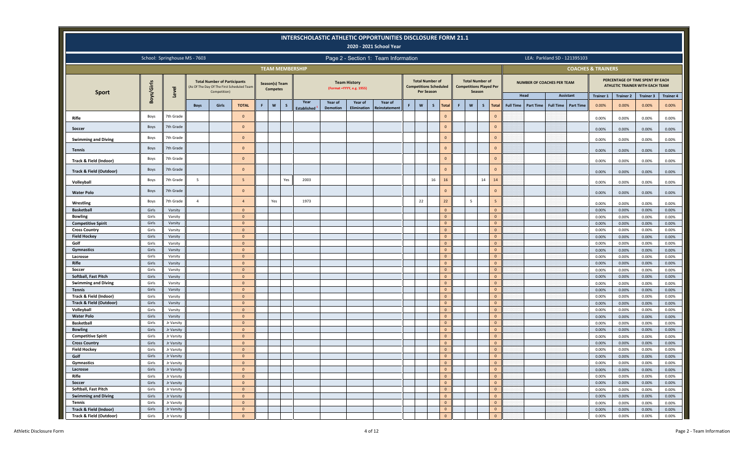|                                                   |                |                               |                |                                                     |                                            |   |                                   |              |                            |                            |                                                   | INTERSCHOLASTIC ATHLETIC OPPORTUNITIES DISCLOSURE FORM 21.1<br>2020 - 2021 School Year |   |                                             |                               |                                  |   |                                                                    |                                |                                      |                                      |                               |                  |                                                                     |                  |
|---------------------------------------------------|----------------|-------------------------------|----------------|-----------------------------------------------------|--------------------------------------------|---|-----------------------------------|--------------|----------------------------|----------------------------|---------------------------------------------------|----------------------------------------------------------------------------------------|---|---------------------------------------------|-------------------------------|----------------------------------|---|--------------------------------------------------------------------|--------------------------------|--------------------------------------|--------------------------------------|-------------------------------|------------------|---------------------------------------------------------------------|------------------|
|                                                   |                | School: Springhouse MS - 7603 |                |                                                     |                                            |   |                                   |              |                            |                            |                                                   | Page 2 - Section 1: Team Information                                                   |   |                                             |                               |                                  |   |                                                                    |                                |                                      | LEA: Parkland SD - 121395103         |                               |                  |                                                                     |                  |
|                                                   |                |                               |                |                                                     |                                            |   |                                   |              | <b>TEAM MEMBERSHIP</b>     |                            |                                                   |                                                                                        |   |                                             |                               |                                  |   |                                                                    |                                |                                      |                                      | <b>COACHES &amp; TRAINERS</b> |                  |                                                                     |                  |
|                                                   | Boys/Girls     | Level                         |                | <b>Total Number of Participants</b><br>Competition) | (As Of The Day Of The First Scheduled Team |   | Season(s) Team<br><b>Competes</b> |              |                            |                            | <b>Team History</b><br>(Format = YYYY, e.g. 1955) |                                                                                        |   | <b>Total Number of</b><br><b>Per Season</b> | <b>Competitions Scheduled</b> |                                  |   | <b>Total Number of</b><br><b>Competitions Played Per</b><br>Season |                                |                                      | <b>NUMBER OF COACHES PER TEAM</b>    |                               |                  | PERCENTAGE OF TIME SPENT BY EACH<br>ATHLETIC TRAINER WITH EACH TEAM |                  |
| <b>Sport</b>                                      |                |                               |                |                                                     |                                            |   |                                   |              |                            |                            |                                                   |                                                                                        |   |                                             |                               |                                  |   |                                                                    |                                | Head                                 | <b>Assistant</b>                     | <b>Trainer 1</b>              | <b>Trainer 2</b> | <b>Trainer 3</b>                                                    | <b>Trainer 4</b> |
|                                                   |                |                               | <b>Boys</b>    | Girls                                               | <b>TOTAL</b>                               | F | $\mathsf{w}$                      | $\mathsf{s}$ | Year<br><b>Established</b> | Year of<br><b>Demotion</b> | Year of<br><b>Elimination</b>                     | Year of<br>Reinstatement                                                               | F | $\mathsf{w}$                                | $\mathsf{s}$                  | <b>Total</b>                     | F | $\mathbf{w}$<br>$\mathsf{s}$                                       | <b>Total</b>                   | <b>Full Time</b><br><b>Part Time</b> | <b>Full Time</b><br><b>Part Time</b> | 0.00%                         | 0.00%            | 0.00%                                                               | 0.00%            |
| Rifle                                             | Boys           | 7th Grade                     |                |                                                     | $\Omega$                                   |   |                                   |              |                            |                            |                                                   |                                                                                        |   |                                             |                               | $\mathbf{0}$                     |   |                                                                    | $\mathbf{0}$                   |                                      |                                      | 0.00%                         | 0.00%            | 0.00%                                                               | 0.00%            |
| Soccer                                            | Boys           | 7th Grade                     |                |                                                     | $\mathbf{0}$                               |   |                                   |              |                            |                            |                                                   |                                                                                        |   |                                             |                               | $\mathbf{0}$                     |   |                                                                    | $\mathbf{0}$                   |                                      |                                      | 0.00%                         | 0.00%            | 0.00%                                                               | 0.00%            |
|                                                   | Boys           | 7th Grade                     |                |                                                     | $\Omega$                                   |   |                                   |              |                            |                            |                                                   |                                                                                        |   |                                             |                               | $\mathbf{0}$                     |   |                                                                    | $\mathbf{0}$                   |                                      |                                      |                               |                  |                                                                     |                  |
| <b>Swimming and Diving</b>                        | Boys           | 7th Grade                     |                |                                                     | $\mathbf{0}$                               |   |                                   |              |                            |                            |                                                   |                                                                                        |   |                                             |                               | $\mathbf{0}$                     |   |                                                                    | $\mathbf{0}$                   |                                      |                                      | 0.00%                         | 0.00%            | 0.00%                                                               | 0.00%            |
| <b>Tennis</b>                                     |                |                               |                |                                                     |                                            |   |                                   |              |                            |                            |                                                   |                                                                                        |   |                                             |                               |                                  |   |                                                                    |                                |                                      |                                      | 0.00%                         | 0.00%            | 0.00%                                                               | 0.00%            |
| Track & Field (Indoor)                            | Boys           | 7th Grade                     |                |                                                     | $\Omega$                                   |   |                                   |              |                            |                            |                                                   |                                                                                        |   |                                             |                               | $\mathbf{0}$                     |   |                                                                    | $\mathbf{0}$                   |                                      |                                      | 0.00%                         | 0.00%            | 0.00%                                                               | 0.00%            |
| Track & Field (Outdoor)                           | <b>Boys</b>    | 7th Grade                     |                |                                                     | $\Omega$                                   |   |                                   |              |                            |                            |                                                   |                                                                                        |   |                                             |                               | $\mathbf{0}$                     |   |                                                                    | $\mathbf{0}$                   |                                      |                                      | 0.00%                         | 0.00%            | 0.00%                                                               | 0.00%            |
| Volleyball                                        | Boys           | 7th Grade                     | $\overline{5}$ |                                                     | 5                                          |   |                                   | Yes          | 2003                       |                            |                                                   |                                                                                        |   |                                             | 16                            | 16                               |   | 14                                                                 | 14                             |                                      |                                      | 0.00%                         | 0.00%            | 0.00%                                                               | 0.00%            |
| <b>Water Polo</b>                                 | Boys           | 7th Grade                     |                |                                                     | $\Omega$                                   |   |                                   |              |                            |                            |                                                   |                                                                                        |   |                                             |                               | $\mathbf{0}$                     |   |                                                                    | $\overline{0}$                 |                                      |                                      | 0.00%                         | 0.00%            | 0.00%                                                               | 0.00%            |
|                                                   | Boys           | 7th Grade                     | $\overline{4}$ |                                                     | $\overline{4}$                             |   | Yes                               |              | 1973                       |                            |                                                   |                                                                                        |   | 22                                          |                               | 22                               |   | 5                                                                  | 5                              |                                      |                                      |                               |                  |                                                                     |                  |
| Wrestling<br><b>Basketball</b>                    | Girls          | Varsity                       |                |                                                     | $\mathbf{0}$                               |   |                                   |              |                            |                            |                                                   |                                                                                        |   |                                             |                               | $\overline{0}$                   |   |                                                                    | $\mathbf{0}$                   |                                      |                                      | 0.00%<br>0.00%                | 0.00%<br>0.00%   | 0.00%<br>0.00%                                                      | 0.00%<br>0.00%   |
| <b>Bowling</b>                                    | Girls          | Varsity                       |                |                                                     | $\mathbf{0}$                               |   |                                   |              |                            |                            |                                                   |                                                                                        |   |                                             |                               | $\mathbf{0}$                     |   |                                                                    | $\overline{0}$                 |                                      |                                      | 0.00%                         | 0.00%            | 0.00%                                                               | 0.00%            |
| <b>Competitive Spirit</b>                         | Girls          | Varsity                       |                |                                                     | $\mathbf{0}$                               |   |                                   |              |                            |                            |                                                   |                                                                                        |   |                                             |                               | $\mathbf{0}$                     |   |                                                                    | $\overline{0}$                 |                                      |                                      | 0.00%                         | 0.00%            | 0.00%                                                               | 0.00%            |
| <b>Cross Country</b>                              | Girls          | Varsity                       |                |                                                     | $\mathbf{0}$                               |   |                                   |              |                            |                            |                                                   |                                                                                        |   |                                             |                               | $\overline{0}$                   |   |                                                                    | $\mathbf{0}$                   |                                      |                                      | 0.00%                         | 0.00%            | 0.00%                                                               | 0.00%            |
| <b>Field Hockey</b>                               | Girls          | Varsity                       |                |                                                     | $\mathbf{0}$                               |   |                                   |              |                            |                            |                                                   |                                                                                        |   |                                             |                               | $\mathbf{0}$                     |   |                                                                    | $\overline{0}$                 |                                      |                                      | 0.00%                         | 0.00%            | 0.00%                                                               | 0.00%            |
| Golf                                              | Girls          | Varsity                       |                |                                                     | $\overline{0}$                             |   |                                   |              |                            |                            |                                                   |                                                                                        |   |                                             |                               | $\mathbf{0}$                     |   |                                                                    | $\overline{0}$                 |                                      |                                      | 0.00%                         | 0.00%            | 0.00%                                                               | 0.00%            |
| Gymnastics                                        | Girls          | Varsity                       |                |                                                     | $\mathbf{0}$                               |   |                                   |              |                            |                            |                                                   |                                                                                        |   |                                             |                               | $\mathbf{0}$                     |   |                                                                    | $\overline{0}$                 |                                      |                                      | 0.00%                         | 0.00%            | 0.00%                                                               | 0.00%            |
| Lacrosse                                          | Girls          | Varsity                       |                |                                                     | $\mathbf{0}$                               |   |                                   |              |                            |                            |                                                   |                                                                                        |   |                                             |                               | $\mathbf{0}$                     |   |                                                                    | $\overline{0}$                 |                                      |                                      | 0.00%                         | 0.00%            | 0.00%                                                               | 0.00%            |
| Rifle                                             | Girls          | Varsity                       |                |                                                     | $\mathbf{0}$                               |   |                                   |              |                            |                            |                                                   |                                                                                        |   |                                             |                               | $\overline{0}$                   |   |                                                                    | $\overline{0}$                 |                                      |                                      | 0.00%                         | 0.00%            | 0.00%                                                               | 0.00%            |
| Soccer                                            | Girls          | Varsity                       |                |                                                     | $\mathbf{0}$                               |   |                                   |              |                            |                            |                                                   |                                                                                        |   |                                             |                               | $\mathbf{0}$                     |   |                                                                    | $\overline{0}$                 |                                      |                                      | 0.00%                         | 0.00%            | 0.00%                                                               | 0.00%            |
| Softball, Fast Pitch                              | Girls          | Varsity                       |                |                                                     | $\mathbf{0}$                               |   |                                   |              |                            |                            |                                                   |                                                                                        |   |                                             |                               | $\mathbf{0}$                     |   |                                                                    | $\overline{0}$                 |                                      |                                      | 0.00%                         | 0.00%            | 0.00%                                                               | 0.00%            |
| <b>Swimming and Diving</b>                        | Girls          | Varsity                       |                |                                                     | $\overline{0}$                             |   |                                   |              |                            |                            |                                                   |                                                                                        |   |                                             |                               | $\mathbf{0}$                     |   |                                                                    | $\overline{0}$                 |                                      |                                      | 0.00%                         | 0.00%            | 0.00%                                                               | 0.00%            |
| Tennis                                            | Girls          | Varsity                       |                |                                                     | $\mathbf{0}$                               |   |                                   |              |                            |                            |                                                   |                                                                                        |   |                                             |                               | $\mathbf{0}$                     |   |                                                                    | $\overline{0}$                 |                                      |                                      | 0.00%                         | 0.00%            | 0.00%                                                               | 0.00%            |
| Track & Field (Indoor)                            | Girls          | Varsity                       |                |                                                     | $\mathbf{0}$                               |   |                                   |              |                            |                            |                                                   |                                                                                        |   |                                             |                               | $\overline{0}$                   |   |                                                                    | $\mathbf{0}$                   |                                      |                                      | 0.00%                         | 0.00%            | 0.00%                                                               | 0.00%            |
| <b>Track &amp; Field (Outdoor)</b>                | Girls          | Varsity                       |                |                                                     | $\mathbf{0}$                               |   |                                   |              |                            |                            |                                                   |                                                                                        |   |                                             |                               | $\overline{0}$<br>$\mathbf{0}$   |   |                                                                    | $\overline{0}$                 |                                      |                                      | 0.00%                         | 0.00%            | 0.00%                                                               | 0.00%            |
| Volleyball<br><b>Water Polo</b>                   | Girls<br>Girls | Varsity<br>Varsity            |                |                                                     | $\mathbf{0}$<br>$\mathbf{0}$               |   |                                   |              |                            |                            |                                                   |                                                                                        |   |                                             |                               | $\mathbf{0}$                     |   |                                                                    | $\overline{0}$<br>$\mathbf{0}$ |                                      |                                      | 0.00%<br>0.00%                | 0.00%<br>0.00%   | 0.00%<br>0.00%                                                      | 0.00%<br>0.00%   |
| <b>Basketball</b>                                 | Girls          | Jr Varsity                    |                |                                                     | $\overline{0}$                             |   |                                   |              |                            |                            |                                                   |                                                                                        |   |                                             |                               | $\mathbf{0}$                     |   |                                                                    | $\overline{0}$                 |                                      |                                      | 0.00%                         | 0.00%            | 0.00%                                                               | 0.00%            |
| <b>Bowling</b>                                    | Girls          | Jr Varsity                    |                |                                                     | $\mathbf{0}$                               |   |                                   |              |                            |                            |                                                   |                                                                                        |   |                                             |                               | $\mathbf{0}$                     |   |                                                                    | $\overline{0}$                 |                                      |                                      | 0.00%                         | 0.00%            | 0.00%                                                               | 0.00%            |
| <b>Competitive Spirit</b>                         | Girls          | Jr Varsity                    |                |                                                     | $\mathbf{0}$                               |   |                                   |              |                            |                            |                                                   |                                                                                        |   |                                             |                               | $\overline{0}$                   |   |                                                                    | $\mathbf{0}$                   |                                      |                                      | 0.00%                         | 0.00%            | 0.00%                                                               | 0.00%            |
| <b>Cross Country</b>                              | Girls          | Jr Varsity                    |                |                                                     | $\mathbf{0}$                               |   |                                   |              |                            |                            |                                                   |                                                                                        |   |                                             |                               | $\mathbf{0}$                     |   |                                                                    | $\overline{0}$                 |                                      |                                      | 0.00%                         | 0.00%            | 0.00%                                                               | 0.00%            |
| <b>Field Hockey</b>                               | Girls          | Jr Varsity                    |                |                                                     | $\mathbf{0}$                               |   |                                   |              |                            |                            |                                                   |                                                                                        |   |                                             |                               | $\mathbf{0}$                     |   |                                                                    | $\overline{0}$                 |                                      |                                      | 0.00%                         | 0.00%            | 0.00%                                                               | 0.00%            |
| Golf                                              | Girls          | Jr Varsity                    |                |                                                     | $\mathbf{0}$                               |   |                                   |              |                            |                            |                                                   |                                                                                        |   |                                             |                               | $\mathbf{0}$                     |   |                                                                    | $\mathbf{0}$                   |                                      |                                      | 0.00%                         | 0.00%            | 0.00%                                                               | 0.00%            |
| Gymnastics                                        | Girls          | Jr Varsity                    |                |                                                     | $\mathbf{0}$                               |   |                                   |              |                            |                            |                                                   |                                                                                        |   |                                             |                               | $\mathbf{0}$                     |   |                                                                    | $\mathbf{0}$                   |                                      |                                      | 0.00%                         | 0.00%            | 0.00%                                                               | 0.00%            |
| Lacrosse                                          | Girls          | Jr Varsity                    |                |                                                     | $\mathbf{0}$                               |   |                                   |              |                            |                            |                                                   |                                                                                        |   |                                             |                               | $\overline{\mathbf{0}}$          |   |                                                                    | $\mathbf 0$                    |                                      |                                      | 0.00%                         | 0.00%            | $0.00\%$                                                            | 0.00%            |
| Rifle                                             | Girls          | Jr Varsity                    |                |                                                     | $\overline{0}$                             |   |                                   |              |                            |                            |                                                   |                                                                                        |   |                                             |                               | $\circ$                          |   |                                                                    | $\mathbf 0$                    |                                      |                                      | 0.00%                         | 0.00%            | 0.00%                                                               | 0.00%            |
| Soccer                                            | Girls          | Jr Varsity                    |                |                                                     | $\mathbf{0}$                               |   |                                   |              |                            |                            |                                                   |                                                                                        |   |                                             |                               | $\overline{0}$                   |   |                                                                    | $\mathbf 0$                    |                                      |                                      | 0.00%                         | 0.00%            | $0.00\%$                                                            | 0.00%            |
| Softball, Fast Pitch                              | Girls          | Jr Varsity                    |                |                                                     | $\mathbf{0}$                               |   |                                   |              |                            |                            |                                                   |                                                                                        |   |                                             |                               | $\circ$                          |   |                                                                    | $\mathbf{0}$                   |                                      |                                      | 0.00%                         | 0.00%            | $0.00\%$                                                            | 0.00%            |
| <b>Swimming and Diving</b>                        | Girls          | Jr Varsity                    |                |                                                     | $\mathbf{0}$                               |   |                                   |              |                            |                            |                                                   |                                                                                        |   |                                             |                               | $\overline{\mathbf{0}}$          |   |                                                                    | $\mathbf{0}$                   |                                      |                                      | 0.00%                         | 0.00%            | $0.00\%$                                                            | 0.00%            |
| Tennis                                            | Girls          | Jr Varsity                    |                |                                                     | $\mathbf{0}$                               |   |                                   |              |                            |                            |                                                   |                                                                                        |   |                                             |                               | $\circ$                          |   |                                                                    | $\mathbf{0}$                   |                                      |                                      | 0.00%                         | 0.00%            | $0.00\%$                                                            | 0.00%            |
| Track & Field (Indoor)<br>Track & Field (Outdoor) | Girls<br>Girls | Jr Varsity<br>Jr Varsity      |                |                                                     | $\overline{0}$<br>$\mathbf{0}$             |   |                                   |              |                            |                            |                                                   |                                                                                        |   |                                             |                               | $\overline{0}$<br>$\overline{0}$ |   |                                                                    | $\mathbf{0}$<br>$\mathbf 0$    |                                      |                                      | 0.00%                         | 0.00%            | 0.00%                                                               | 0.00%            |
|                                                   |                |                               |                |                                                     |                                            |   |                                   |              |                            |                            |                                                   |                                                                                        |   |                                             |                               |                                  |   |                                                                    |                                |                                      |                                      | 0.00%                         | 0.00%            | 0.00%                                                               | 0.00%            |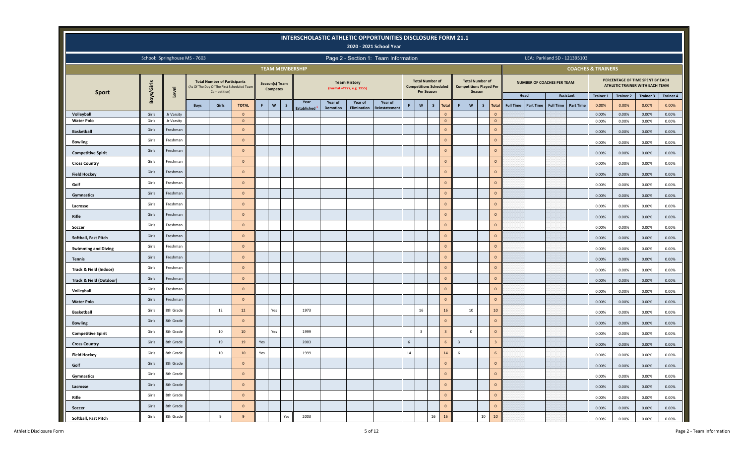|                                 |                |                               |             |                                                     |                                            |                |                 |                        |                    |                 |                                                   | INTERSCHOLASTIC ATHLETIC OPPORTUNITIES DISCLOSURE FORM 21.1<br>2020 - 2021 School Year |        |                |                                                         |                              |                |                                                                    |                                |                  |                  |                                      |                               |                  |                                                                     |                  |
|---------------------------------|----------------|-------------------------------|-------------|-----------------------------------------------------|--------------------------------------------|----------------|-----------------|------------------------|--------------------|-----------------|---------------------------------------------------|----------------------------------------------------------------------------------------|--------|----------------|---------------------------------------------------------|------------------------------|----------------|--------------------------------------------------------------------|--------------------------------|------------------|------------------|--------------------------------------|-------------------------------|------------------|---------------------------------------------------------------------|------------------|
|                                 |                | School: Springhouse MS - 7603 |             |                                                     |                                            |                |                 |                        |                    |                 |                                                   | Page 2 - Section 1: Team Information                                                   |        |                |                                                         |                              |                |                                                                    |                                |                  |                  | LEA: Parkland SD - 121395103         |                               |                  |                                                                     |                  |
|                                 |                |                               |             |                                                     |                                            |                |                 | <b>TEAM MEMBERSHIP</b> |                    |                 |                                                   |                                                                                        |        |                |                                                         |                              |                |                                                                    |                                |                  |                  |                                      | <b>COACHES &amp; TRAINERS</b> |                  |                                                                     |                  |
| <b>Sport</b>                    | Boys/Girls     | Level                         |             | <b>Total Number of Participants</b><br>Competition) | (As Of The Day Of The First Scheduled Team | Season(s) Team | <b>Competes</b> |                        |                    |                 | <b>Team History</b><br>(Format = YYYY, e.g. 1955) |                                                                                        |        | Per Season     | <b>Total Number of</b><br><b>Competitions Scheduled</b> |                              |                | <b>Total Number of</b><br><b>Competitions Played Per</b><br>Season |                                |                  |                  | NUMBER OF COACHES PER TEAM           |                               |                  | PERCENTAGE OF TIME SPENT BY EACH<br>ATHLETIC TRAINER WITH EACH TEAM |                  |
|                                 |                |                               |             |                                                     |                                            |                |                 |                        | Year               | Year of         | Year of                                           | Year of                                                                                |        |                |                                                         |                              |                |                                                                    |                                |                  | Head             | Assistant                            | <b>Trainer 1</b>              | <b>Trainer 2</b> | <b>Trainer 3</b>                                                    | <b>Trainer 4</b> |
|                                 |                |                               | <b>Boys</b> | Girls                                               | <b>TOTAL</b>                               | F              | $\mathsf{w}$    | s                      | <b>Established</b> | <b>Demotion</b> | <b>Elimination</b>                                | Reinstatement                                                                          | F      | W              | $\mathsf{s}$                                            | Total                        | F              | $\boldsymbol{\mathsf{w}}$<br>$\mathsf{s}$                          | <b>Total</b>                   | <b>Full Time</b> | <b>Part Time</b> | <b>Part Time</b><br><b>Full Time</b> | 0.00%                         | 0.00%            | 0.00%                                                               | 0.00%            |
| Volleyball<br><b>Water Polo</b> | Girls<br>Girls | Jr Varsity<br>Jr Varsity      |             |                                                     | $\overline{0}$<br>$\overline{0}$           |                |                 |                        |                    |                 |                                                   |                                                                                        |        |                |                                                         | $\mathbf{0}$<br>$\mathbf{0}$ |                |                                                                    | $\mathbf{0}$<br>$\overline{0}$ |                  |                  |                                      | 0.00%<br>0.00%                | 0.00%<br>0.00%   | 0.00%<br>0.00%                                                      | 0.00%<br>0.00%   |
| <b>Basketball</b>               | Girls          | Freshman                      |             |                                                     | $\Omega$                                   |                |                 |                        |                    |                 |                                                   |                                                                                        |        |                |                                                         | $\mathbf{0}$                 |                |                                                                    | $\mathbf{0}$                   |                  |                  |                                      | 0.00%                         | 0.00%            | 0.00%                                                               | 0.00%            |
| <b>Bowling</b>                  | Girls          | Freshman                      |             |                                                     | $\mathbf{0}$                               |                |                 |                        |                    |                 |                                                   |                                                                                        |        |                |                                                         | $\mathsf{O}\xspace$          |                |                                                                    | $\mathbf{0}$                   |                  |                  |                                      | 0.00%                         | 0.00%            | 0.00%                                                               | 0.00%            |
| <b>Competitive Spirit</b>       | Girls          | Freshman                      |             |                                                     | $\overline{0}$                             |                |                 |                        |                    |                 |                                                   |                                                                                        |        |                |                                                         | $\mathbf 0$                  |                |                                                                    | $\mathbf{0}$                   |                  |                  |                                      | 0.00%                         | 0.00%            | 0.00%                                                               | 0.00%            |
| <b>Cross Country</b>            | Girls          | Freshman                      |             |                                                     | $\mathbf{0}$                               |                |                 |                        |                    |                 |                                                   |                                                                                        |        |                |                                                         | $\mathbf{0}$                 |                |                                                                    | $\mathbf{0}$                   |                  |                  |                                      | 0.00%                         | 0.00%            | 0.00%                                                               | 0.00%            |
| <b>Field Hockey</b>             | Girls          | Freshman                      |             |                                                     | $\Omega$                                   |                |                 |                        |                    |                 |                                                   |                                                                                        |        |                |                                                         | $\mathsf{O}\xspace$          |                |                                                                    | $\mathbf{0}$                   |                  |                  |                                      | 0.00%                         | 0.00%            | 0.00%                                                               | 0.00%            |
| Golf                            | Girls          | Freshman                      |             |                                                     | $\overline{0}$                             |                |                 |                        |                    |                 |                                                   |                                                                                        |        |                |                                                         | $\mathbf{0}$                 |                |                                                                    | $\mathbf{0}$                   |                  |                  |                                      | 0.00%                         | 0.00%            | 0.00%                                                               | 0.00%            |
| Gymnastics                      | Girls          | Freshman                      |             |                                                     | $\mathbf{0}$                               |                |                 |                        |                    |                 |                                                   |                                                                                        |        |                |                                                         | $\mathsf{O}\xspace$          |                |                                                                    | $\mathbf{0}$                   |                  |                  |                                      | 0.00%                         | 0.00%            | 0.00%                                                               | 0.00%            |
| Lacrosse                        | Girls          | Freshman                      |             |                                                     | $\overline{0}$                             |                |                 |                        |                    |                 |                                                   |                                                                                        |        |                |                                                         | $\mathbf 0$                  |                |                                                                    | $\mathbf{0}$                   |                  |                  |                                      | 0.00%                         | 0.00%            | 0.00%                                                               | 0.00%            |
| Rifle                           | Girls          | Freshman                      |             |                                                     | $\mathbf{0}$                               |                |                 |                        |                    |                 |                                                   |                                                                                        |        |                |                                                         | $\mathbf 0$                  |                |                                                                    | $\mathbf{0}$                   |                  |                  |                                      | 0.00%                         | 0.00%            | 0.00%                                                               | 0.00%            |
| Soccer                          | Girls          | Freshman                      |             |                                                     | $\Omega$                                   |                |                 |                        |                    |                 |                                                   |                                                                                        |        |                |                                                         | $\mathsf{O}\xspace$          |                |                                                                    | $\mathbf{0}$                   |                  |                  |                                      | 0.00%                         | 0.00%            | 0.00%                                                               | 0.00%            |
| Softball, Fast Pitch            | Girls          | Freshman                      |             |                                                     | $\Omega$                                   |                |                 |                        |                    |                 |                                                   |                                                                                        |        |                |                                                         | $\mathbf{0}$                 |                |                                                                    | $\mathbf{0}$                   |                  |                  |                                      | 0.00%                         | 0.00%            | 0.00%                                                               | 0.00%            |
| <b>Swimming and Diving</b>      | Girls          | Freshman                      |             |                                                     | $\mathbf{0}$                               |                |                 |                        |                    |                 |                                                   |                                                                                        |        |                |                                                         | $\mathsf{O}\xspace$          |                |                                                                    | $\mathbf{0}$                   |                  |                  |                                      | 0.00%                         | 0.00%            | 0.00%                                                               | 0.00%            |
| <b>Tennis</b>                   | Girls          | Freshman                      |             |                                                     | $\overline{0}$                             |                |                 |                        |                    |                 |                                                   |                                                                                        |        |                |                                                         | $\mathbf 0$                  |                |                                                                    | $\mathbf{0}$                   |                  |                  |                                      | 0.00%                         | 0.00%            | 0.00%                                                               | 0.00%            |
| Track & Field (Indoor)          | Girls          | Freshman                      |             |                                                     | $\mathbf{0}$                               |                |                 |                        |                    |                 |                                                   |                                                                                        |        |                |                                                         | $\mathbf 0$                  |                |                                                                    | $\mathbf{0}$                   |                  |                  |                                      | 0.00%                         | 0.00%            | 0.00%                                                               | 0.00%            |
| Track & Field (Outdoor)         | Girls          | Freshman                      |             |                                                     | $\Omega$                                   |                |                 |                        |                    |                 |                                                   |                                                                                        |        |                |                                                         | $\mathsf{O}\xspace$          |                |                                                                    | $\mathbf{0}$                   |                  |                  |                                      | 0.00%                         | 0.00%            | 0.00%                                                               | 0.00%            |
| Volleyball                      | Girls          | Freshman                      |             |                                                     | $\mathbf{0}$                               |                |                 |                        |                    |                 |                                                   |                                                                                        |        |                |                                                         | $\mathbf{0}$                 |                |                                                                    | $\mathbf{0}$                   |                  |                  |                                      | 0.00%                         | 0.00%            | 0.00%                                                               | 0.00%            |
| <b>Water Polo</b>               | Girls          | Freshman                      |             |                                                     | $\mathbf{0}$                               |                |                 |                        |                    |                 |                                                   |                                                                                        |        |                |                                                         | $\mathsf{O}\xspace$          |                |                                                                    | $\mathbf{0}$                   |                  |                  |                                      | 0.00%                         | 0.00%            | 0.00%                                                               | 0.00%            |
| <b>Basketball</b>               | Girls          | 8th Grade                     |             | 12                                                  | 12                                         |                | Yes             |                        | 1973               |                 |                                                   |                                                                                        |        | 16             |                                                         | 16                           |                | 10                                                                 | 10                             |                  |                  |                                      | 0.00%                         | 0.00%            | 0.00%                                                               | 0.00%            |
| <b>Bowling</b>                  | Girls          | 8th Grade                     |             |                                                     | $\mathbf{0}$                               |                |                 |                        |                    |                 |                                                   |                                                                                        |        |                |                                                         | $\mathbf{0}$                 |                |                                                                    | $\mathbf{0}$                   |                  |                  |                                      | 0.00%                         | 0.00%            | 0.00%                                                               | 0.00%            |
| <b>Competitive Spirit</b>       | Girls          | 8th Grade                     |             | $10\,$                                              | 10                                         |                | Yes             |                        | 1999               |                 |                                                   |                                                                                        |        | $\overline{3}$ |                                                         | $\overline{3}$               |                | $\mathbf 0$                                                        | $\mathbf{0}$                   |                  |                  |                                      | 0.00%                         | $0.00\%$         | 0.00%                                                               | 0.00%            |
| <b>Cross Country</b>            | Girls          | 8th Grade                     |             | 19                                                  | 19                                         | Yes            |                 |                        | 2003               |                 |                                                   |                                                                                        | 6      |                |                                                         | 6                            | $\overline{3}$ |                                                                    | $\overline{\mathbf{3}}$        |                  |                  |                                      | 0.00%                         | 0.00%            | 0.00%                                                               | 0.00%            |
| <b>Field Hockey</b>             | Girls          | 8th Grade                     |             | $10\,$                                              | 10                                         | Yes            |                 |                        | 1999               |                 |                                                   |                                                                                        | $14\,$ |                |                                                         | 14                           | 6              |                                                                    | $6\phantom{1}$                 |                  |                  |                                      | 0.00%                         | 0.00%            | 0.00%                                                               | 0.00%            |
| Golf                            | Girls          | 8th Grade                     |             |                                                     | $\overline{0}$                             |                |                 |                        |                    |                 |                                                   |                                                                                        |        |                |                                                         | $\mathbf 0$                  |                |                                                                    | $\mathbf 0$                    |                  |                  |                                      | 0.00%                         | 0.00%            | 0.00%                                                               | 0.00%            |
| Gymnastics                      | Girls          | 8th Grade                     |             |                                                     | $\overline{0}$                             |                |                 |                        |                    |                 |                                                   |                                                                                        |        |                |                                                         | $\mathbf 0$                  |                |                                                                    | $\mathbf 0$                    |                  |                  |                                      | 0.00%                         | 0.00%            | 0.00%                                                               | 0.00%            |
| Lacrosse                        | Girls          | 8th Grade                     |             |                                                     | $\overline{0}$                             |                |                 |                        |                    |                 |                                                   |                                                                                        |        |                |                                                         | $\mathbf 0$                  |                |                                                                    | $\mathbf 0$                    |                  |                  |                                      | 0.00%                         | 0.00%            | 0.00%                                                               | 0.00%            |
| Rifle                           | Girls          | 8th Grade                     |             |                                                     | $\mathbf{0}$                               |                |                 |                        |                    |                 |                                                   |                                                                                        |        |                |                                                         | $\mathbf 0$                  |                |                                                                    | $\mathbf{0}$                   |                  |                  |                                      | 0.00%                         | 0.00%            | 0.00%                                                               | 0.00%            |
| Soccer                          | Girls          | 8th Grade                     |             |                                                     | $\overline{0}$                             |                |                 |                        |                    |                 |                                                   |                                                                                        |        |                |                                                         | $\mathbf 0$                  |                |                                                                    | $\mathbf{0}$                   |                  |                  |                                      | 0.00%                         | 0.00%            | 0.00%                                                               | 0.00%            |
| Softball, Fast Pitch            | Girls          | 8th Grade                     |             | 9                                                   | 9                                          |                |                 | Yes                    | 2003               |                 |                                                   |                                                                                        |        |                | 16                                                      | 16                           |                |                                                                    | $10\,$<br>$10\,$               |                  |                  |                                      | 0.00%                         | 0.00%            | 0.00%                                                               | 0.00%            |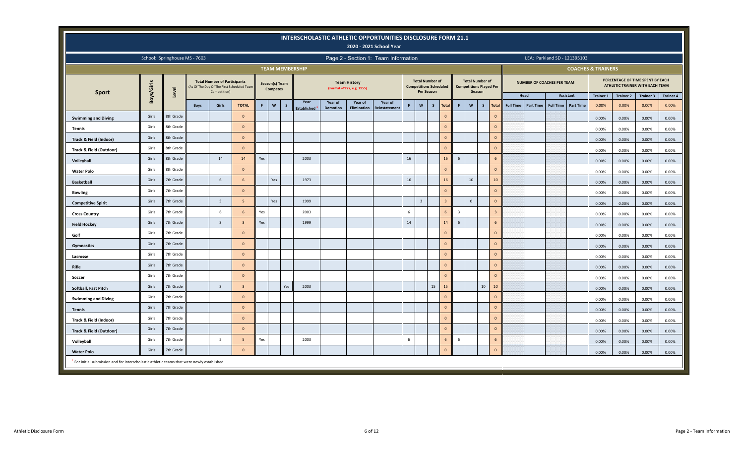|                                                                                                         |            |                               |             |                                                                                                   |                |     |                                   |     |                          |                 |                                                   | INTERSCHOLASTIC ATHLETIC OPPORTUNITIES DISCLOSURE FORM 21.1<br>2020 - 2021 School Year |         |                                                                              |              |                |                |                                                                    |                        |                  |                  |                                   |                  |                               |                  |                                                                     |                  |
|---------------------------------------------------------------------------------------------------------|------------|-------------------------------|-------------|---------------------------------------------------------------------------------------------------|----------------|-----|-----------------------------------|-----|--------------------------|-----------------|---------------------------------------------------|----------------------------------------------------------------------------------------|---------|------------------------------------------------------------------------------|--------------|----------------|----------------|--------------------------------------------------------------------|------------------------|------------------|------------------|-----------------------------------|------------------|-------------------------------|------------------|---------------------------------------------------------------------|------------------|
|                                                                                                         |            | School: Springhouse MS - 7603 |             |                                                                                                   |                |     |                                   |     |                          |                 |                                                   | Page 2 - Section 1: Team Information                                                   |         |                                                                              |              |                |                |                                                                    |                        |                  |                  | LEA: Parkland SD - 121395103      |                  |                               |                  |                                                                     |                  |
|                                                                                                         |            |                               |             |                                                                                                   |                |     |                                   |     | <b>TEAM MEMBERSHIP</b>   |                 |                                                   |                                                                                        |         |                                                                              |              |                |                |                                                                    |                        |                  |                  |                                   |                  | <b>COACHES &amp; TRAINERS</b> |                  |                                                                     |                  |
| <b>Sport</b>                                                                                            | Boys/Girls | Level                         |             | <b>Total Number of Participants</b><br>(As Of The Day Of The First Scheduled Team<br>Competition) |                |     | Season(s) Team<br><b>Competes</b> |     |                          |                 | <b>Team History</b><br>(Format = YYYY, e.g. 1955) |                                                                                        |         | <b>Total Number of</b><br><b>Competitions Scheduled</b><br><b>Per Season</b> |              |                |                | <b>Total Number of</b><br><b>Competitions Played Per</b><br>Season |                        |                  |                  | <b>NUMBER OF COACHES PER TEAM</b> |                  |                               |                  | PERCENTAGE OF TIME SPENT BY EACH<br>ATHLETIC TRAINER WITH EACH TEAM |                  |
|                                                                                                         |            |                               |             |                                                                                                   |                |     |                                   |     | Year                     | Year of         | Year of                                           | Year of                                                                                |         |                                                                              |              |                |                |                                                                    |                        |                  | Head             | <b>Assistant</b>                  |                  | <b>Trainer 1</b>              | <b>Trainer 2</b> | <b>Trainer 3</b>                                                    | <b>Trainer 4</b> |
|                                                                                                         |            |                               | <b>Boys</b> | Girls                                                                                             | <b>TOTAL</b>   | F.  | $\mathsf{w}$                      | s   | Established <sup>1</sup> | <b>Demotion</b> | Elimination                                       | <b>Reinstatement</b>                                                                   | F       | $\boldsymbol{\mathsf{w}}$                                                    | $\mathsf{s}$ | Total          | <b>F</b>       | $\mathsf{w}$                                                       | $\mathsf{s}$<br>Total  | <b>Full Time</b> | <b>Part Time</b> | <b>Full Time</b>                  | <b>Part Time</b> | 0.00%                         | 0.00%            | 0.00%                                                               | 0.00%            |
| <b>Swimming and Diving</b>                                                                              | Girls      | 8th Grade                     |             |                                                                                                   | $\Omega$       |     |                                   |     |                          |                 |                                                   |                                                                                        |         |                                                                              |              | $\mathbf{0}$   |                |                                                                    | $\Omega$               |                  |                  |                                   |                  | 0.00%                         | 0.00%            | 0.00%                                                               | 0.00%            |
| <b>Tennis</b>                                                                                           | Girls      | 8th Grade                     |             |                                                                                                   | $\Omega$       |     |                                   |     |                          |                 |                                                   |                                                                                        |         |                                                                              |              | $\mathbf 0$    |                |                                                                    | $\mathbf{0}$           |                  |                  |                                   |                  | 0.00%                         | 0.00%            | 0.00%                                                               | 0.00%            |
| <b>Track &amp; Field (Indoor)</b>                                                                       | Girls      | 8th Grade                     |             |                                                                                                   | $\mathbf{0}$   |     |                                   |     |                          |                 |                                                   |                                                                                        |         |                                                                              |              | $\mathbf{0}$   |                |                                                                    | $\mathbf{0}$           |                  |                  |                                   |                  | 0.00%                         | 0.00%            | 0.00%                                                               | 0.00%            |
| Track & Field (Outdoor)                                                                                 | Girls      | 8th Grade                     |             |                                                                                                   | $\Omega$       |     |                                   |     |                          |                 |                                                   |                                                                                        |         |                                                                              |              | $\mathbf{0}$   |                |                                                                    | $\Omega$               |                  |                  |                                   |                  | 0.00%                         | 0.00%            | 0.00%                                                               | 0.00%            |
| Volleyball                                                                                              | Girls      | 8th Grade                     |             | 14                                                                                                | 14             | Yes |                                   |     | 2003                     |                 |                                                   |                                                                                        | 16      |                                                                              |              | 16             | 6              |                                                                    | 6                      |                  |                  |                                   |                  | 0.00%                         | 0.00%            | 0.00%                                                               | 0.00%            |
| <b>Water Polo</b>                                                                                       | Girls      | 8th Grade                     |             |                                                                                                   | $\mathbf{0}$   |     |                                   |     |                          |                 |                                                   |                                                                                        |         |                                                                              |              | $\mathbf 0$    |                |                                                                    | $\mathbf{0}$           |                  |                  |                                   |                  | 0.00%                         | 0.00%            | 0.00%                                                               | 0.00%            |
| <b>Basketball</b>                                                                                       | Girls      | 7th Grade                     |             | $6\phantom{1}$                                                                                    | -6             |     | Yes                               |     | 1973                     |                 |                                                   |                                                                                        | 16      |                                                                              |              | 16             |                | 10                                                                 | 10 <sup>°</sup>        |                  |                  |                                   |                  | 0.00%                         | 0.00%            | 0.00%                                                               | 0.00%            |
| <b>Bowling</b>                                                                                          | Girls      | 7th Grade                     |             |                                                                                                   | $\Omega$       |     |                                   |     |                          |                 |                                                   |                                                                                        |         |                                                                              |              | $\Omega$       |                |                                                                    | $\Omega$               |                  |                  |                                   |                  | 0.00%                         | 0.00%            | 0.00%                                                               | 0.00%            |
| <b>Competitive Spirit</b>                                                                               | Girls      | 7th Grade                     |             | 5                                                                                                 | -5             |     | Yes                               |     | 1999                     |                 |                                                   |                                                                                        |         | $\overline{3}$                                                               |              | $\overline{3}$ |                | $\mathsf 0$                                                        | $\mathbf{0}$           |                  |                  |                                   |                  | 0.00%                         | 0.00%            | 0.00%                                                               | 0.00%            |
| <b>Cross Country</b>                                                                                    | Girls      | 7th Grade                     |             | 6                                                                                                 |                | Yes |                                   |     | 2003                     |                 |                                                   |                                                                                        | 6       |                                                                              |              | 6              | $\overline{3}$ |                                                                    | $\overline{3}$         |                  |                  |                                   |                  | 0.00%                         | 0.00%            | 0.00%                                                               | 0.00%            |
| <b>Field Hockey</b>                                                                                     | Girls      | 7th Grade                     |             | $\overline{\mathbf{3}}$                                                                           | $\mathbf{R}$   | Yes |                                   |     | 1999                     |                 |                                                   |                                                                                        | 14      |                                                                              |              | 14             | 6              |                                                                    | 6                      |                  |                  |                                   |                  | 0.00%                         | 0.00%            | 0.00%                                                               | 0.00%            |
| Golf                                                                                                    | Girls      | 7th Grade                     |             |                                                                                                   | $\mathbf{0}$   |     |                                   |     |                          |                 |                                                   |                                                                                        |         |                                                                              |              | $\mathbf{0}$   |                |                                                                    | $\mathbf{0}$           |                  |                  |                                   |                  | 0.00%                         | 0.00%            | 0.00%                                                               | 0.00%            |
| Gymnastics                                                                                              | Girls      | 7th Grade                     |             |                                                                                                   | $\mathbf{0}$   |     |                                   |     |                          |                 |                                                   |                                                                                        |         |                                                                              |              | $\mathbf 0$    |                |                                                                    | $\Omega$               |                  |                  |                                   |                  | 0.00%                         | 0.00%            | 0.00%                                                               | 0.00%            |
| Lacrosse                                                                                                | Girls      | 7th Grade                     |             |                                                                                                   | $\mathbf{0}$   |     |                                   |     |                          |                 |                                                   |                                                                                        |         |                                                                              |              | $\mathbf{0}$   |                |                                                                    | $\mathbf{0}$           |                  |                  |                                   |                  | 0.00%                         | 0.00%            | 0.00%                                                               | 0.00%            |
| <b>Rifle</b>                                                                                            | Girls      | 7th Grade                     |             |                                                                                                   | $\mathbf{0}$   |     |                                   |     |                          |                 |                                                   |                                                                                        |         |                                                                              |              | $\mathbf{0}$   |                |                                                                    | $\mathbf{0}$           |                  |                  |                                   |                  | 0.00%                         | 0.00%            | 0.00%                                                               | 0.00%            |
| Soccer                                                                                                  | Girls      | 7th Grade                     |             |                                                                                                   | $\overline{0}$ |     |                                   |     |                          |                 |                                                   |                                                                                        |         |                                                                              |              | $\mathbf{0}$   |                |                                                                    | $\Omega$               |                  |                  |                                   |                  | 0.00%                         | 0.00%            | 0.00%                                                               | 0.00%            |
| Softball, Fast Pitch                                                                                    | Girls      | 7th Grade                     |             | $\overline{\mathbf{3}}$                                                                           | $\overline{3}$ |     |                                   | Yes | 2003                     |                 |                                                   |                                                                                        |         |                                                                              | 15           | 15             |                |                                                                    | 10 <sup>10</sup><br>10 |                  |                  |                                   |                  | 0.00%                         | 0.00%            | 0.00%                                                               | 0.00%            |
| <b>Swimming and Diving</b>                                                                              | Girls      | 7th Grade                     |             |                                                                                                   | $\Omega$       |     |                                   |     |                          |                 |                                                   |                                                                                        |         |                                                                              |              | $\mathbf{0}$   |                |                                                                    | $\mathbf{0}$           |                  |                  |                                   |                  | 0.00%                         | 0.00%            | 0.00%                                                               | 0.00%            |
| <b>Tennis</b>                                                                                           | Girls      | 7th Grade                     |             |                                                                                                   | $\Omega$       |     |                                   |     |                          |                 |                                                   |                                                                                        |         |                                                                              |              | $\mathbf{0}$   |                |                                                                    | $\Omega$               |                  |                  |                                   |                  | 0.00%                         | 0.00%            | 0.00%                                                               | 0.00%            |
| Track & Field (Indoor)                                                                                  | Girls      | 7th Grade                     |             |                                                                                                   | $\Omega$       |     |                                   |     |                          |                 |                                                   |                                                                                        |         |                                                                              |              | $\mathbf{0}$   |                |                                                                    | $\Omega$               |                  |                  |                                   |                  | 0.00%                         | 0.00%            | 0.00%                                                               | 0.00%            |
| <b>Track &amp; Field (Outdoor)</b>                                                                      | Girls      | 7th Grade                     |             |                                                                                                   | $\mathbf{0}$   |     |                                   |     |                          |                 |                                                   |                                                                                        |         |                                                                              |              | $\mathbf{0}$   |                |                                                                    | $\mathbf{0}$           |                  |                  |                                   |                  | 0.00%                         | 0.00%            | 0.00%                                                               | 0.00%            |
| Volleyball                                                                                              | Girls      | 7th Grade                     |             | 5                                                                                                 | -5             | Yes |                                   |     | 2003                     |                 |                                                   |                                                                                        | $\,6\,$ |                                                                              |              | $6\phantom{1}$ | -6             |                                                                    | 6                      |                  |                  |                                   |                  | 0.00%                         | 0.00%            | 0.00%                                                               | 0.00%            |
| <b>Water Polo</b>                                                                                       | Girls      | 7th Grade                     |             |                                                                                                   | $\Omega$       |     |                                   |     |                          |                 |                                                   |                                                                                        |         |                                                                              |              | $\mathbf{0}$   |                |                                                                    | $\mathbf{0}$           |                  |                  |                                   |                  | 0.00%                         | 0.00%            | 0.00%                                                               | 0.00%            |
| <sup>1</sup> For initial submission and for interscholastic athletic teams that were newly established. |            |                               |             |                                                                                                   |                |     |                                   |     |                          |                 |                                                   |                                                                                        |         |                                                                              |              |                |                |                                                                    |                        |                  |                  |                                   |                  |                               |                  |                                                                     |                  |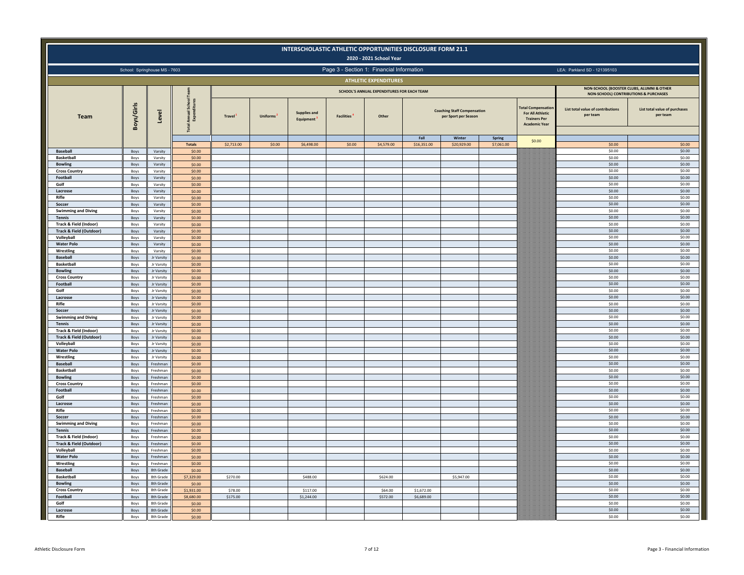|                                                  |              |                               |                              |                     |                 |                                               |                                | INTERSCHOLASTIC ATHLETIC OPPORTUNITIES DISCLOSURE FORM 21.1<br>2020 - 2021 School Year |                          |                                                            |                      |                                                                                                    |                                               |                                                                                               |
|--------------------------------------------------|--------------|-------------------------------|------------------------------|---------------------|-----------------|-----------------------------------------------|--------------------------------|----------------------------------------------------------------------------------------|--------------------------|------------------------------------------------------------|----------------------|----------------------------------------------------------------------------------------------------|-----------------------------------------------|-----------------------------------------------------------------------------------------------|
|                                                  |              | School: Springhouse MS - 7603 |                              |                     |                 |                                               |                                | Page 3 - Section 1: Financial Information                                              |                          |                                                            |                      |                                                                                                    | LEA: Parkland SD - 121395103                  |                                                                                               |
|                                                  |              |                               |                              |                     |                 |                                               |                                | <b>ATHLETIC EXPENDITURES</b>                                                           |                          |                                                            |                      |                                                                                                    |                                               |                                                                                               |
|                                                  |              |                               |                              |                     |                 |                                               |                                | SCHOOL'S ANNUAL EXPENDITURES FOR EACH TEAM                                             |                          |                                                            |                      |                                                                                                    | NON-SCHOOL (BOOSTER CLUBS, ALUMNI & OTHER     |                                                                                               |
| Team                                             | Boys/Girls   | Level                         | School<br>Ē<br>Amrua<br>Expe | Travel <sup>1</sup> | <b>Uniforms</b> | <b>Supplies and</b><br>Equipment <sup>3</sup> | <b>Facilities</b> <sup>4</sup> | Other                                                                                  |                          | <b>Coaching Staff Compensation</b><br>per Sport per Season |                      | <b>Total Compensatio</b><br><b>For All Athletic</b><br><b>Trainers Per</b><br><b>Academic Year</b> | List total value of contributions<br>per team | <b>NON-SCHOOL) CONTRIBUTIONS &amp; PURCHASES</b><br>List total value of purchases<br>per team |
|                                                  |              |                               | <b>Totals</b>                | \$2,713.00          | \$0.00          | \$6,498.00                                    | \$0.00                         | \$4,579.00                                                                             | Fall<br>\$16,351.00      | Winter<br>\$20,929.00                                      | Spring<br>\$7,061.00 | \$0.00                                                                                             | \$0.00                                        | \$0.00                                                                                        |
| <b>Baseball</b>                                  | Boys         | Varsity                       | \$0.00                       |                     |                 |                                               |                                |                                                                                        |                          |                                                            |                      |                                                                                                    | \$0.00                                        | \$0.00                                                                                        |
| <b>Basketball</b>                                | Boys         | Varsity                       | \$0.00                       |                     |                 |                                               |                                |                                                                                        |                          |                                                            |                      |                                                                                                    | \$0.00                                        | \$0.00                                                                                        |
| <b>Bowling</b><br><b>Cross Country</b>           | Boys<br>Boys | Varsity                       | \$0.00                       |                     |                 |                                               |                                |                                                                                        |                          |                                                            |                      |                                                                                                    | \$0.00<br>\$0.00                              | \$0.00<br>\$0.00                                                                              |
| Football                                         | Boys         | Varsity<br>Varsity            | \$0.00<br>\$0.00             |                     |                 |                                               |                                |                                                                                        |                          |                                                            |                      |                                                                                                    | \$0.00                                        | \$0.00                                                                                        |
| Golf                                             | Boys         | Varsity                       | \$0.00                       |                     |                 |                                               |                                |                                                                                        |                          |                                                            |                      |                                                                                                    | \$0.00                                        | \$0.00                                                                                        |
| Lacrosse                                         | Boys         | Varsity                       | \$0.00                       |                     |                 |                                               |                                |                                                                                        |                          |                                                            |                      |                                                                                                    | \$0.00                                        | \$0.00                                                                                        |
| Rifle<br>Soccer                                  | Boys<br>Boys | Varsity<br>Varsity            | \$0.00<br>\$0.00             |                     |                 |                                               |                                |                                                                                        |                          |                                                            |                      |                                                                                                    | \$0.00<br>\$0.00                              | \$0.00<br>\$0.00                                                                              |
| <b>Swimming and Diving</b>                       | Boys         | Varsity                       | \$0.00                       |                     |                 |                                               |                                |                                                                                        |                          |                                                            |                      |                                                                                                    | \$0.00                                        | \$0.00                                                                                        |
| <b>Tennis</b>                                    | <b>Boys</b>  | Varsity                       | \$0.00                       |                     |                 |                                               |                                |                                                                                        |                          |                                                            |                      |                                                                                                    | \$0.00                                        | \$0.00                                                                                        |
| Track & Field (Indoor)                           | Boys         | Varsity                       | \$0.00                       |                     |                 |                                               |                                |                                                                                        |                          |                                                            |                      |                                                                                                    | \$0.00                                        | \$0.00                                                                                        |
| <b>Track &amp; Field (Outdoor)</b><br>Volleyball | Boys         | Varsity                       | \$0.00                       |                     |                 |                                               |                                |                                                                                        |                          |                                                            |                      |                                                                                                    | \$0.00<br>\$0.00                              | \$0.00<br>\$0.00                                                                              |
| <b>Water Polo</b>                                | Boys<br>Boys | Varsity<br>Varsity            | \$0.00<br>\$0.00             |                     |                 |                                               |                                |                                                                                        |                          |                                                            |                      |                                                                                                    | \$0.00                                        | \$0.00                                                                                        |
| Wrestling                                        | Boys         | Varsity                       | \$0.00                       |                     |                 |                                               |                                |                                                                                        |                          |                                                            |                      |                                                                                                    | \$0.00                                        | \$0.00                                                                                        |
| <b>Baseball</b>                                  | Boys         | Jr Varsity                    | \$0.00                       |                     |                 |                                               |                                |                                                                                        |                          |                                                            |                      |                                                                                                    | \$0.00                                        | \$0.00                                                                                        |
| <b>Basketball</b>                                | Boys         | Jr Varsity                    | \$0.00                       |                     |                 |                                               |                                |                                                                                        |                          |                                                            |                      |                                                                                                    | \$0.00                                        | \$0.00                                                                                        |
| <b>Bowling</b><br><b>Cross Country</b>           | Boys<br>Boys | Jr Varsity<br>Jr Varsity      | \$0.00<br>\$0.00             |                     |                 |                                               |                                |                                                                                        |                          |                                                            |                      |                                                                                                    | \$0.00<br>\$0.00                              | \$0.00<br>\$0.00                                                                              |
| Football                                         | Boys         | Jr Varsity                    | \$0.00                       |                     |                 |                                               |                                |                                                                                        |                          |                                                            |                      |                                                                                                    | \$0.00                                        | \$0.00                                                                                        |
| Golf                                             | Boys         | Jr Varsity                    | \$0.00                       |                     |                 |                                               |                                |                                                                                        |                          |                                                            |                      |                                                                                                    | \$0.00                                        | \$0.00                                                                                        |
| Lacrosse                                         | Boys         | Jr Varsity                    | \$0.00                       |                     |                 |                                               |                                |                                                                                        |                          |                                                            |                      |                                                                                                    | \$0.00                                        | \$0.00                                                                                        |
| Rifle                                            | Boys         | Jr Varsity                    | \$0.00                       |                     |                 |                                               |                                |                                                                                        |                          |                                                            |                      |                                                                                                    | \$0.00                                        | \$0.00                                                                                        |
| Soccer<br><b>Swimming and Diving</b>             | Boys<br>Boys | Jr Varsity<br>Jr Varsity      | \$0.00<br>\$0.00             |                     |                 |                                               |                                |                                                                                        |                          |                                                            |                      |                                                                                                    | \$0.00<br>\$0.00                              | \$0.00<br>\$0.00                                                                              |
| <b>Tennis</b>                                    | Boys         | Jr Varsity                    | \$0.00                       |                     |                 |                                               |                                |                                                                                        |                          |                                                            |                      |                                                                                                    | \$0.00                                        | \$0.00                                                                                        |
| Track & Field (Indoor)                           | Boys         | Jr Varsity                    | \$0.00                       |                     |                 |                                               |                                |                                                                                        |                          |                                                            |                      |                                                                                                    | \$0.00                                        | \$0.00                                                                                        |
| <b>Track &amp; Field (Outdoor)</b>               | Boys         | Jr Varsity                    | \$0.00                       |                     |                 |                                               |                                |                                                                                        |                          |                                                            |                      |                                                                                                    | \$0.00                                        | \$0.00                                                                                        |
| Volleyball<br><b>Water Polo</b>                  | Boys<br>Boys | Jr Varsity<br>Jr Varsity      | \$0.00<br>\$0.00             |                     |                 |                                               |                                |                                                                                        |                          |                                                            |                      |                                                                                                    | \$0.00<br>\$0.00                              | \$0.00<br>\$0.00                                                                              |
| Wrestling                                        | Boys         | Jr Varsity                    | \$0.00                       |                     |                 |                                               |                                |                                                                                        |                          |                                                            |                      |                                                                                                    | \$0.00                                        | \$0.00                                                                                        |
| <b>Baseball</b>                                  | Boys         | Freshman                      | \$0.00                       |                     |                 |                                               |                                |                                                                                        |                          |                                                            |                      |                                                                                                    | \$0.00                                        | \$0.00                                                                                        |
| <b>Basketball</b>                                | Boys         | Freshman                      | \$0.00                       |                     |                 |                                               |                                |                                                                                        |                          |                                                            |                      |                                                                                                    | \$0.00                                        | \$0.00                                                                                        |
| <b>Bowling</b>                                   | Boys         | Freshman                      | \$0.00                       |                     |                 |                                               |                                |                                                                                        |                          |                                                            |                      |                                                                                                    | \$0.00<br>\$0.00                              | \$0.00                                                                                        |
| <b>Cross Country</b><br>Football                 | Boys<br>Boys | Freshman<br>Freshman          | \$0.00<br>\$0.00             |                     |                 |                                               |                                |                                                                                        |                          |                                                            |                      |                                                                                                    | \$0.00                                        | \$0.00<br>\$0.00                                                                              |
| Golf                                             | Boys         | Freshman                      | \$0.00                       |                     |                 |                                               |                                |                                                                                        |                          |                                                            |                      |                                                                                                    | \$0.00                                        | \$0.00                                                                                        |
| Lacrosse                                         | Boys         | Freshman                      | \$0.00                       |                     |                 |                                               |                                |                                                                                        |                          |                                                            |                      |                                                                                                    | \$0.00                                        | \$0.00                                                                                        |
| Rifle                                            | Boys         | Freshman                      | \$0.00                       |                     |                 |                                               |                                |                                                                                        |                          |                                                            |                      |                                                                                                    | \$0.00                                        | \$0.00                                                                                        |
| Soccer<br><b>Swimming and Diving</b>             | Boys<br>Boys | Freshman<br>Freshman          | \$0.00<br>\$0.00             |                     |                 |                                               |                                |                                                                                        |                          |                                                            |                      |                                                                                                    | \$0.00<br>\$0.00                              | \$0.00<br>\$0.00                                                                              |
| Tennis                                           | Boys         | Freshman                      | \$0.00                       |                     |                 |                                               |                                |                                                                                        |                          |                                                            |                      |                                                                                                    | \$0.00                                        | \$0.00                                                                                        |
| Track & Field (Indoor)                           | Boys         | Freshman                      | \$0.00                       |                     |                 |                                               |                                |                                                                                        |                          |                                                            |                      |                                                                                                    | \$0.00                                        | \$0.00                                                                                        |
| <b>Track &amp; Field (Outdoor)</b>               | Boys         | Freshman                      | \$0.00                       |                     |                 |                                               |                                |                                                                                        |                          |                                                            |                      |                                                                                                    | \$0.00                                        | \$0.00                                                                                        |
| Volleyball<br><b>Water Polo</b>                  | Boys<br>Boys | Freshman<br>Freshman          | \$0.00<br>\$0.00             |                     |                 |                                               |                                |                                                                                        |                          |                                                            |                      |                                                                                                    | \$0.00<br>\$0.00                              | \$0.00<br>\$0.00                                                                              |
| Wrestling                                        | Boys         | Freshman                      | \$0.00                       |                     |                 |                                               |                                |                                                                                        |                          |                                                            |                      |                                                                                                    | \$0.00                                        | \$0.00                                                                                        |
| <b>Baseball</b>                                  | Boys         | 8th Grade                     | \$0.00                       |                     |                 |                                               |                                |                                                                                        |                          |                                                            |                      |                                                                                                    | \$0.00                                        | \$0.00                                                                                        |
| <b>Basketball</b>                                | Boys         | 8th Grade                     | \$7,329.00                   | \$270.00            |                 | \$488.00                                      |                                | \$624.00                                                                               |                          | \$5,947.00                                                 |                      |                                                                                                    | \$0.00                                        | \$0.00                                                                                        |
| <b>Bowling</b>                                   | Boys         | 8th Grade                     | \$0.00                       |                     |                 |                                               |                                |                                                                                        |                          |                                                            |                      |                                                                                                    | \$0.00                                        | \$0.00                                                                                        |
| <b>Cross Country</b><br>Football                 | Boys<br>Boys | 8th Grade<br>8th Grade        | \$1,931.00<br>\$8,680.00     | \$78.00<br>\$175.00 |                 | \$117.00<br>\$1,244.00                        |                                | \$64.00<br>\$572.00                                                                    | \$1,672.00<br>\$6,689.00 |                                                            |                      |                                                                                                    | \$0.00<br>\$0.00                              | \$0.00<br>\$0.00                                                                              |
| Golf                                             | Boys         | 8th Grade                     | \$0.00                       |                     |                 |                                               |                                |                                                                                        |                          |                                                            |                      |                                                                                                    | \$0.00                                        | \$0.00                                                                                        |
| Lacrosse                                         | Boys         | 8th Grade                     | \$0.00                       |                     |                 |                                               |                                |                                                                                        |                          |                                                            |                      |                                                                                                    | \$0.00                                        | \$0.00                                                                                        |
| Rifle                                            | Boys         | 8th Grade                     | \$0.00                       |                     |                 |                                               |                                |                                                                                        |                          |                                                            |                      |                                                                                                    | \$0.00                                        | \$0.00                                                                                        |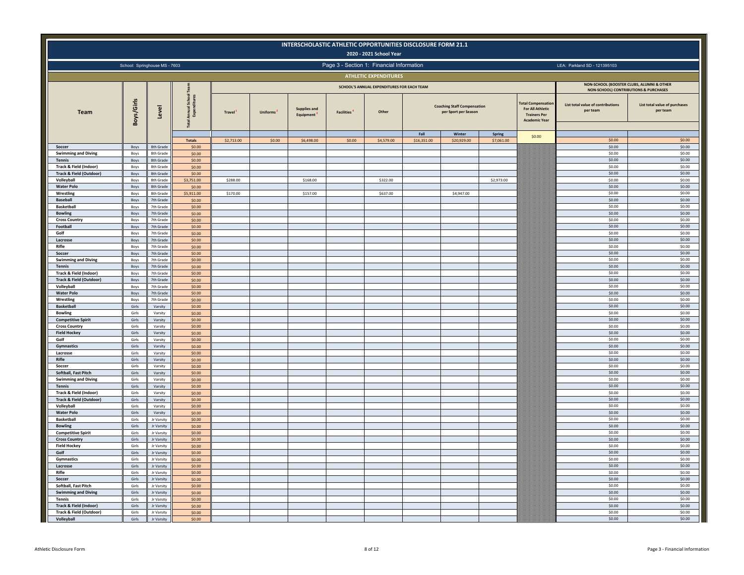|                                                   |                |                               |                             |                     |                 | INTERSCHOLASTIC ATHLETIC OPPORTUNITIES DISCLOSURE FORM 21.1 |                   | 2020 - 2021 School Year                    |                     |                                                            |                      |                                                                                                    |                                               |                                           |
|---------------------------------------------------|----------------|-------------------------------|-----------------------------|---------------------|-----------------|-------------------------------------------------------------|-------------------|--------------------------------------------|---------------------|------------------------------------------------------------|----------------------|----------------------------------------------------------------------------------------------------|-----------------------------------------------|-------------------------------------------|
|                                                   |                | School: Springhouse MS - 7603 |                             |                     |                 |                                                             |                   | Page 3 - Section 1: Financial Information  |                     |                                                            |                      |                                                                                                    | LEA: Parkland SD - 121395103                  |                                           |
|                                                   |                |                               |                             |                     |                 |                                                             |                   | <b>ATHLETIC EXPENDITURES</b>               |                     |                                                            |                      |                                                                                                    |                                               |                                           |
|                                                   |                |                               |                             |                     |                 |                                                             |                   | SCHOOL'S ANNUAL EXPENDITURES FOR EACH TEAM |                     |                                                            |                      |                                                                                                    | NON-SCHOOL) CONTRIBUTIONS & PURCHASES         | NON-SCHOOL (BOOSTER CLUBS, ALUMNI & OTHER |
| Team                                              | Boys/Girls     | Level                         | ្លិ<br>Annual<br>Expen<br>ē | Travel <sup>1</sup> | <b>Uniforms</b> | <b>Supplies and</b><br>Equipment                            | <b>Facilities</b> | Other                                      |                     | <b>Coaching Staff Compensation</b><br>per Sport per Season |                      | <b>Fotal Compensatio</b><br><b>For All Athletic</b><br><b>Trainers Per</b><br><b>Academic Year</b> | List total value of contributions<br>per team | List total value of purchases<br>per team |
|                                                   |                |                               | <b>Totals</b>               | \$2,713.00          | \$0.00          | \$6,498.00                                                  | \$0.00            | \$4,579.00                                 | Fall<br>\$16,351.00 | Winter<br>\$20,929.00                                      | Spring<br>\$7,061.00 | \$0.00                                                                                             | \$0.00                                        | \$0.00                                    |
| Soccer                                            | Boys           | 8th Grade                     | \$0.00                      |                     |                 |                                                             |                   |                                            |                     |                                                            |                      |                                                                                                    | \$0.00                                        | \$0.00                                    |
| <b>Swimming and Diving</b>                        | Boys           | 8th Grade                     | \$0.00                      |                     |                 |                                                             |                   |                                            |                     |                                                            |                      |                                                                                                    | \$0.00                                        | \$0.00                                    |
| <b>Tennis</b><br>Track & Field (Indoor)           | Boys<br>Boys   | 8th Grade<br>8th Grade        | \$0.00<br>\$0.00            |                     |                 |                                                             |                   |                                            |                     |                                                            |                      |                                                                                                    | \$0.00<br>\$0.00                              | \$0.00<br>\$0.00                          |
| <b>Track &amp; Field (Outdoor)</b>                | Boys           | 8th Grade                     | \$0.00                      |                     |                 |                                                             |                   |                                            |                     |                                                            |                      |                                                                                                    | \$0.00                                        | \$0.00                                    |
| Volleyball                                        | Boys           | 8th Grade                     | \$3,751.00                  | \$288.00            |                 | \$168.00                                                    |                   | \$322.00                                   |                     |                                                            | \$2,973.00           |                                                                                                    | \$0.00                                        | \$0.00                                    |
| <b>Water Polo</b><br>Wrestling                    | Boys           | 8th Grade<br>8th Grade        | \$0.00<br>\$5,911.00        | \$170.00            |                 | \$157.00                                                    |                   | \$637.00                                   |                     | \$4,947.00                                                 |                      |                                                                                                    | \$0.00<br>\$0.00                              | \$0.00<br>\$0.00                          |
| <b>Baseball</b>                                   | Boys<br>Boys   | 7th Grade                     | \$0.00                      |                     |                 |                                                             |                   |                                            |                     |                                                            |                      |                                                                                                    | \$0.00                                        | \$0.00                                    |
| <b>Basketball</b>                                 | Boys           | 7th Grade                     | 50.00                       |                     |                 |                                                             |                   |                                            |                     |                                                            |                      |                                                                                                    | \$0.00                                        | \$0.00                                    |
| <b>Bowling</b>                                    | Boys           | 7th Grade                     | \$0.00                      |                     |                 |                                                             |                   |                                            |                     |                                                            |                      |                                                                                                    | \$0.00                                        | \$0.00                                    |
| <b>Cross Country</b><br>Football                  | Boys<br>Boys   | 7th Grade<br>7th Grade        | \$0.00<br>\$0.00            |                     |                 |                                                             |                   |                                            |                     |                                                            |                      |                                                                                                    | \$0.00<br>\$0.00                              | \$0.00<br>\$0.00                          |
| Golf                                              | Boys           | 7th Grade                     | \$0.00                      |                     |                 |                                                             |                   |                                            |                     |                                                            |                      |                                                                                                    | \$0.00                                        | \$0.00                                    |
| Lacrosse                                          | Boys           | 7th Grade                     | \$0.00                      |                     |                 |                                                             |                   |                                            |                     |                                                            |                      |                                                                                                    | \$0.00                                        | \$0.00                                    |
| Rifle                                             | Boys           | 7th Grade                     | \$0.00                      |                     |                 |                                                             |                   |                                            |                     |                                                            |                      |                                                                                                    | \$0.00                                        | \$0.00                                    |
| Soccer<br><b>Swimming and Diving</b>              | Boys<br>Boys   | 7th Grade<br>7th Grade        | \$0.00<br>\$0.00            |                     |                 |                                                             |                   |                                            |                     |                                                            |                      |                                                                                                    | \$0.00<br>\$0.00                              | \$0.00<br>\$0.00                          |
| <b>Tennis</b>                                     | Boys           | 7th Grade                     | \$0.00                      |                     |                 |                                                             |                   |                                            |                     |                                                            |                      |                                                                                                    | \$0.00                                        | \$0.00                                    |
| <b>Track &amp; Field (Indoor)</b>                 | Boys           | 7th Grade                     | \$0.00                      |                     |                 |                                                             |                   |                                            |                     |                                                            |                      |                                                                                                    | \$0.00                                        | \$0.00                                    |
| <b>Track &amp; Field (Outdoor)</b>                | Boys           | 7th Grade                     | \$0.00                      |                     |                 |                                                             |                   |                                            |                     |                                                            |                      |                                                                                                    | \$0.00                                        | \$0.00                                    |
| Volleyball<br><b>Water Polo</b>                   | Boys<br>Boys   | 7th Grade<br>7th Grade        | \$0.00<br>\$0.00            |                     |                 |                                                             |                   |                                            |                     |                                                            |                      |                                                                                                    | \$0.00<br>\$0.00                              | \$0.00<br>\$0.00                          |
| Wrestling                                         | Boys           | 7th Grade                     | \$0.00                      |                     |                 |                                                             |                   |                                            |                     |                                                            |                      |                                                                                                    | \$0.00                                        | \$0.00                                    |
| <b>Basketball</b>                                 | Girls          | Varsity                       | \$0.00                      |                     |                 |                                                             |                   |                                            |                     |                                                            |                      |                                                                                                    | \$0.00                                        | \$0.00                                    |
| <b>Bowling</b>                                    | Girls          | Varsity                       | \$0.00                      |                     |                 |                                                             |                   |                                            |                     |                                                            |                      |                                                                                                    | \$0.00                                        | \$0.00                                    |
| <b>Competitive Spirit</b><br><b>Cross Country</b> | Girls<br>Girls | Varsity<br>Varsity            | \$0.00<br>\$0.00            |                     |                 |                                                             |                   |                                            |                     |                                                            |                      |                                                                                                    | \$0.00<br>\$0.00                              | \$0.00<br>\$0.00                          |
| <b>Field Hockey</b>                               | Girls          | Varsity                       | \$0.00                      |                     |                 |                                                             |                   |                                            |                     |                                                            |                      |                                                                                                    | \$0.00                                        | \$0.00                                    |
| Golf                                              | Girls          | Varsity                       | \$0.00                      |                     |                 |                                                             |                   |                                            |                     |                                                            |                      |                                                                                                    | \$0.00                                        | \$0.00                                    |
| Gymnastics                                        | Girls          | Varsity                       | \$0.00                      |                     |                 |                                                             |                   |                                            |                     |                                                            |                      |                                                                                                    | \$0.00                                        | \$0.00                                    |
| Lacrosse<br>Rifle                                 | Girls<br>Girls | Varsity<br>Varsity            | \$0.00<br>\$0.00            |                     |                 |                                                             |                   |                                            |                     |                                                            |                      |                                                                                                    | \$0.00<br>\$0.00                              | \$0.00<br>\$0.00                          |
| Soccer                                            | Girls          | Varsity                       | \$0.00                      |                     |                 |                                                             |                   |                                            |                     |                                                            |                      |                                                                                                    | \$0.00                                        | \$0.00                                    |
| Softball, Fast Pitch                              | Girls          | Varsity                       | \$0.00                      |                     |                 |                                                             |                   |                                            |                     |                                                            |                      |                                                                                                    | \$0.00                                        | \$0.00                                    |
| <b>Swimming and Diving</b><br><b>Tennis</b>       | Girls<br>Girls | Varsity<br>Varsity            | \$0.00<br>5000              |                     |                 |                                                             |                   |                                            |                     |                                                            |                      |                                                                                                    | \$0.00<br>\$0.00                              | \$0.00<br>\$0.00                          |
| Track & Field (Indoor)                            | Girls          | Varsity                       | 50.00                       |                     |                 |                                                             |                   |                                            |                     |                                                            |                      |                                                                                                    | \$0.00                                        | \$0.00                                    |
| Track & Field (Outdoor)                           | Girls          | Varsity                       | \$0.00                      |                     |                 |                                                             |                   |                                            |                     |                                                            |                      |                                                                                                    | \$0.00                                        | \$0.00                                    |
| Volleyball                                        | Girls          | Varsity                       | \$0.00                      |                     |                 |                                                             |                   |                                            |                     |                                                            |                      |                                                                                                    | \$0.00                                        | \$0.00                                    |
| <b>Water Polo</b><br><b>Basketball</b>            | Girls<br>Girls | Varsity                       | \$0.00<br>\$0.00            |                     |                 |                                                             |                   |                                            |                     |                                                            |                      |                                                                                                    | \$0.00<br>\$0.00                              | \$0.00<br>\$0.00                          |
| <b>Bowling</b>                                    | Girls          | Jr Varsity<br>Jr Varsity      | \$0.00                      |                     |                 |                                                             |                   |                                            |                     |                                                            |                      |                                                                                                    | \$0.00                                        | \$0.00                                    |
| <b>Competitive Spirit</b>                         | Girls          | Jr Varsity                    | \$0.00                      |                     |                 |                                                             |                   |                                            |                     |                                                            |                      |                                                                                                    | \$0.00                                        | \$0.00                                    |
| <b>Cross Country</b>                              | Girls          | Jr Varsity                    | \$0.00                      |                     |                 |                                                             |                   |                                            |                     |                                                            |                      |                                                                                                    | \$0.00                                        | \$0.00                                    |
| <b>Field Hockey</b><br>Golf                       | Girls<br>Girls | Jr Varsity<br>Jr Varsity      | \$0.00<br>\$0.00            |                     |                 |                                                             |                   |                                            |                     |                                                            |                      |                                                                                                    | \$0.00<br>\$0.00                              | \$0.00<br>\$0.00                          |
| Gymnastics                                        | Girls          | Jr Varsity                    | \$0.00                      |                     |                 |                                                             |                   |                                            |                     |                                                            |                      |                                                                                                    | \$0.00                                        | \$0.00                                    |
| Lacrosse                                          | Girls          | Jr Varsity                    | \$0.00                      |                     |                 |                                                             |                   |                                            |                     |                                                            |                      |                                                                                                    | \$0.00                                        | \$0.00                                    |
| Rifle                                             | Girls          | Jr Varsity                    | \$0.00                      |                     |                 |                                                             |                   |                                            |                     |                                                            |                      |                                                                                                    | \$0.00                                        | \$0.00                                    |
| Soccer<br>Softball, Fast Pitch                    | Girls<br>Girls | Jr Varsity<br>Jr Varsity      | \$0.00<br>\$0.00            |                     |                 |                                                             |                   |                                            |                     |                                                            |                      |                                                                                                    | \$0.00<br>\$0.00                              | \$0.00<br>\$0.00                          |
| <b>Swimming and Diving</b>                        | Girls          | Jr Varsity                    | \$0.00                      |                     |                 |                                                             |                   |                                            |                     |                                                            |                      |                                                                                                    | \$0.00                                        | \$0.00                                    |
| Tennis                                            | Girls          | Jr Varsity                    | \$0.00                      |                     |                 |                                                             |                   |                                            |                     |                                                            |                      |                                                                                                    | \$0.00                                        | \$0.00                                    |
| <b>Track &amp; Field (Indoor)</b>                 | Girls          | Jr Varsity                    | \$0.00                      |                     |                 |                                                             |                   |                                            |                     |                                                            |                      |                                                                                                    | \$0.00                                        | \$0.00                                    |
| Track & Field (Outdoor)                           | Girls          | Jr Varsity                    | \$0.00                      |                     |                 |                                                             |                   |                                            |                     |                                                            |                      |                                                                                                    | \$0.00                                        | \$0.00                                    |
| Volleyball                                        | Girls          | Jr Varsity                    | \$0.00                      |                     |                 |                                                             |                   |                                            |                     |                                                            |                      |                                                                                                    | \$0.00                                        | \$0.00                                    |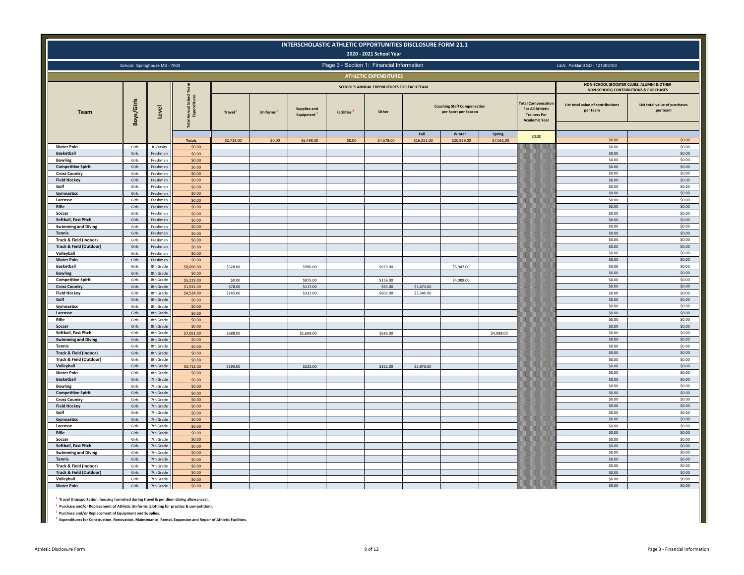|                                                    |                |                               |                          |               |          |                                  |                   | INTERSCHOLASTIC ATHLETIC OPPORTUNITIES DISCLOSURE FORM 21.1<br>2020 - 2021 School Year |                     |                                                            |                      |                                                                                                     |                                               |                                                                                    |
|----------------------------------------------------|----------------|-------------------------------|--------------------------|---------------|----------|----------------------------------|-------------------|----------------------------------------------------------------------------------------|---------------------|------------------------------------------------------------|----------------------|-----------------------------------------------------------------------------------------------------|-----------------------------------------------|------------------------------------------------------------------------------------|
|                                                    |                | School: Springhouse MS - 7603 |                          |               |          |                                  |                   | Page 3 - Section 1: Financial Information                                              |                     |                                                            |                      |                                                                                                     | LEA: Parkland SD - 121395103                  |                                                                                    |
|                                                    |                |                               |                          |               |          |                                  |                   | <b>ATHLETIC EXPENDITURES</b>                                                           |                     |                                                            |                      |                                                                                                     |                                               |                                                                                    |
|                                                    |                |                               |                          |               |          |                                  |                   | SCHOOL'S ANNUAL EXPENDITURES FOR EACH TEAM                                             |                     |                                                            |                      |                                                                                                     |                                               | NON-SCHOOL (BOOSTER CLUBS, ALUMNI & OTHER                                          |
| Team                                               | Boys/Girls     | Level                         | ŝ<br><b>Annu</b><br>Expe | <b>Travel</b> | Uniforms | <b>Supplies and</b><br>Equipment | <b>Facilities</b> | Other                                                                                  |                     | <b>Coaching Staff Compensation</b><br>per Sport per Season |                      | <b>Total Compensation</b><br><b>For All Athletic</b><br><b>Trainers Per</b><br><b>Academic Year</b> | List total value of contributions<br>per team | NON-SCHOOL) CONTRIBUTIONS & PURCHASES<br>List total value of purchases<br>per team |
|                                                    |                |                               | <b>Totals</b>            | \$2,713.00    | \$0.00   | \$6,498.00                       | \$0.00            | \$4,579.00                                                                             | Fall<br>\$16,351.00 | Winter<br>\$20,929.00                                      | Spring<br>\$7,061.00 | \$0.00                                                                                              | \$0.00                                        | \$0.00                                                                             |
| <b>Water Polo</b>                                  | Girls          | Jr Varsity                    | \$0.00                   |               |          |                                  |                   |                                                                                        |                     |                                                            |                      |                                                                                                     | \$0.00                                        | \$0.00                                                                             |
| <b>Basketball</b>                                  | Girls          | Freshman                      | \$0.00                   |               |          |                                  |                   |                                                                                        |                     |                                                            |                      |                                                                                                     | \$0.00                                        | \$0.00                                                                             |
| <b>Bowling</b>                                     | Girls          | Freshmar                      | \$0.00                   |               |          |                                  |                   |                                                                                        |                     |                                                            |                      |                                                                                                     | \$0.00                                        | \$0.00                                                                             |
| <b>Competitive Spirit</b><br><b>Cross Country</b>  | Girls<br>Girls | Freshman<br>Ereshma           | \$0.00<br>\$0.00         |               |          |                                  |                   |                                                                                        |                     |                                                            |                      |                                                                                                     | \$0.00<br>\$0.00                              | \$0.00<br>\$0.00                                                                   |
| <b>Field Hockey</b>                                | Girls          | Freshman                      | \$0.00                   |               |          |                                  |                   |                                                                                        |                     |                                                            |                      |                                                                                                     | \$0.00                                        | \$0.00                                                                             |
| Golf                                               | Girls          | Freshmar                      | \$0.00                   |               |          |                                  |                   |                                                                                        |                     |                                                            |                      |                                                                                                     | \$0.00                                        | \$0.00                                                                             |
| Gymnastics                                         | Girls          | Freshman                      | \$0.00                   |               |          |                                  |                   |                                                                                        |                     |                                                            |                      |                                                                                                     | \$0.00                                        | \$0.00                                                                             |
| Lacrosse<br>Rifle                                  | Girls<br>Girls | Freshman<br>Freshman          | \$0.00<br>\$0.00         |               |          |                                  |                   |                                                                                        |                     |                                                            |                      |                                                                                                     | \$0.00<br>\$0.00                              | \$0.00<br>\$0.00                                                                   |
| Soccer                                             | Girls          | Ereshma                       | \$0.00                   |               |          |                                  |                   |                                                                                        |                     |                                                            |                      |                                                                                                     | \$0.00                                        | \$0.00                                                                             |
| <b>Softball, Fast Pitch</b>                        | Girls          | Freshmar                      | \$0.00                   |               |          |                                  |                   |                                                                                        |                     |                                                            |                      |                                                                                                     | \$0.00                                        | \$0.00                                                                             |
| <b>Swimming and Diving</b>                         | Girls          | Freshmar                      | \$0.00                   |               |          |                                  |                   |                                                                                        |                     |                                                            |                      |                                                                                                     | \$0.00                                        | \$0.00                                                                             |
| <b>Tennis</b><br>Track & Field (Indoor)            | Girls<br>Girls | Freshmar<br>Freshmar          | \$0.00<br>\$0.00         |               |          |                                  |                   |                                                                                        |                     |                                                            |                      |                                                                                                     | \$0.00<br>\$0.00                              | \$0.00<br>\$0.00                                                                   |
| <b>Track &amp; Field (Outdoor)</b>                 | Girls          | Freshma                       | \$0.00                   |               |          |                                  |                   |                                                                                        |                     |                                                            |                      |                                                                                                     | \$0.00                                        | \$0.00                                                                             |
| Volleyball                                         | Girls          | Freshmar                      | \$0.00                   |               |          |                                  |                   |                                                                                        |                     |                                                            |                      |                                                                                                     | \$0.00                                        | \$0.00                                                                             |
| <b>Water Polo</b>                                  | Girls          | Freshmar                      | \$0.00                   |               |          |                                  |                   |                                                                                        |                     |                                                            |                      |                                                                                                     | \$0.00                                        | \$0.00                                                                             |
| <b>Basketball</b><br><b>Bowling</b>                | Girls<br>Girls | 8th Grade<br>8th Grade        | \$8,090.00<br>\$0.00     | \$528.00      |          | \$986.00                         |                   | \$629.00                                                                               |                     | \$5,947.00                                                 |                      |                                                                                                     | \$0.00<br>\$0.00                              | \$0.00<br>\$0.00                                                                   |
| <b>Competitive Spirit</b>                          | Girls          | 8th Grade                     | \$5,219.00               | \$0.00        |          | \$975.00                         |                   | \$156.00                                                                               |                     | \$4,088.00                                                 |                      |                                                                                                     | \$0.00                                        | \$0.00                                                                             |
| Cross Country                                      | Girls          | 8th Grade                     | \$1,932.00               | \$78.00       |          | \$117.00                         |                   | \$65.00                                                                                | \$1,672.00          |                                                            |                      |                                                                                                     | \$0.00                                        | \$0.00                                                                             |
| <b>Field Hockey</b>                                | Girls          | 8th Grade                     | \$4,524.00               | \$245.00      |          | \$332.00                         |                   | \$602.00                                                                               | \$3,345.00          |                                                            |                      |                                                                                                     | \$0.00                                        | \$0.00                                                                             |
| Golf<br><b>Gymnastics</b>                          | Girls<br>Girls | 8th Grade<br>8th Grade        | \$0.00<br>\$0.00         |               |          |                                  |                   |                                                                                        |                     |                                                            |                      |                                                                                                     | \$0.00<br>\$0.00                              | \$0.00<br>\$0.00                                                                   |
| Lacrosse                                           | Girls          | 8th Grade                     | \$0.00                   |               |          |                                  |                   |                                                                                        |                     |                                                            |                      |                                                                                                     | \$0.00                                        | \$0.00                                                                             |
| Rifle                                              | Girls          | 8th Grade                     | \$0.00                   |               |          |                                  |                   |                                                                                        |                     |                                                            |                      |                                                                                                     | \$0.00                                        | \$0.00                                                                             |
| Soccer                                             | Girls          | 8th Grade                     | \$0.00                   |               |          |                                  |                   |                                                                                        |                     |                                                            |                      |                                                                                                     | \$0.00                                        | \$0.00                                                                             |
| Softball, Fast Pitch<br><b>Swimming and Diving</b> | Girls<br>Girls | 8th Grade<br>8th Grade        | \$7,051.00<br>\$0.00     | \$688.00      |          | \$1,689.00                       |                   | \$586.00                                                                               |                     |                                                            | \$4,088.00           |                                                                                                     | \$0.00<br>\$0.00                              | \$0.00<br>\$0.00                                                                   |
| <b>Tennis</b>                                      | Girls          | 8th Grade                     | \$0.00                   |               |          |                                  |                   |                                                                                        |                     |                                                            |                      |                                                                                                     | \$0.00                                        | \$0.00                                                                             |
| Track & Field (Indoor)                             | Girls          | 8th Grade                     | \$0.00                   |               |          |                                  |                   |                                                                                        |                     |                                                            |                      |                                                                                                     | \$0.00                                        | \$0.00                                                                             |
| <b>Track &amp; Field (Outdoor)</b>                 | Girls          | 8th Grade                     | \$0.00                   |               |          |                                  |                   |                                                                                        |                     |                                                            |                      |                                                                                                     | \$0.00                                        | \$0.00                                                                             |
| Volleyball                                         | Girls          | 8th Grade                     | \$3,713,00               | \$193.00      |          | \$225.00                         |                   | \$322.00                                                                               | \$2,973.00          |                                                            |                      |                                                                                                     | \$0.00<br>\$0.00                              | \$0.00<br>\$0.00                                                                   |
| <b>Water Polo</b><br><b>Basketball</b>             | Girls<br>Girls | 8th Grade<br>7th Grade        | \$0.00<br>\$0.00         |               |          |                                  |                   |                                                                                        |                     |                                                            |                      |                                                                                                     | \$0.00                                        | \$0.00                                                                             |
| <b>Bowling</b>                                     | Girls          | 7th Grade                     | \$0.00                   |               |          |                                  |                   |                                                                                        |                     |                                                            |                      |                                                                                                     | \$0.00                                        | \$0.00                                                                             |
| <b>Competitive Spirit</b>                          | Girls          | 7th Grade                     | \$0.00                   |               |          |                                  |                   |                                                                                        |                     |                                                            |                      |                                                                                                     | \$0.00                                        | \$0.00                                                                             |
| <b>Cross Country</b>                               | Girls          | 7th Grade<br>7th Grade        | \$0.00                   |               |          |                                  |                   |                                                                                        |                     |                                                            |                      |                                                                                                     | \$0.00<br>\$0.00                              | \$0.00<br>\$0.00                                                                   |
| <b>Field Hockey</b><br>Golf                        | Girls<br>Girls | 7th Grade                     | \$0.00<br>\$0.00         |               |          |                                  |                   |                                                                                        |                     |                                                            |                      |                                                                                                     | \$0.00                                        | \$0.00                                                                             |
| Gymnastics                                         | Girls          | 7th Grade                     | \$0.00                   |               |          |                                  |                   |                                                                                        |                     |                                                            |                      |                                                                                                     | \$0.00                                        | \$0.00                                                                             |
| Lacrosse                                           | Girls          | 7th Grade                     | \$0.00                   |               |          |                                  |                   |                                                                                        |                     |                                                            |                      |                                                                                                     | \$0.00                                        | \$0.00                                                                             |
| Rifle                                              | Girls          | 7th Grade                     | \$0.00                   |               |          |                                  |                   |                                                                                        |                     |                                                            |                      |                                                                                                     | \$0.00                                        | \$0.00                                                                             |
| Soccer<br>Softball, Fast Pitch                     | Girls<br>Girls | 7th Grade<br>7th Grade        | \$0.00<br>\$0.00         |               |          |                                  |                   |                                                                                        |                     |                                                            |                      |                                                                                                     | \$0.00<br>\$0.00                              | \$0.00<br>\$0.00                                                                   |
| <b>Swimming and Diving</b>                         | Girls          | 7th Grade                     | \$0.00                   |               |          |                                  |                   |                                                                                        |                     |                                                            |                      |                                                                                                     | \$0.00                                        | \$0.00                                                                             |
| <b>Tennis</b>                                      | Girls          | 7th Grade                     | \$0.00                   |               |          |                                  |                   |                                                                                        |                     |                                                            |                      |                                                                                                     | \$0.00                                        | \$0.00                                                                             |
| Track & Field (Indoor)                             | Girls          | 7th Grade                     | \$0.00                   |               |          |                                  |                   |                                                                                        |                     |                                                            |                      |                                                                                                     | \$0.00                                        | \$0.00                                                                             |
| Track & Field (Outdoor)<br>Volleyball              | Girls<br>Girls | 7th Grade<br>7th Grade        | \$0.00<br>\$0.00         |               |          |                                  |                   |                                                                                        |                     |                                                            |                      |                                                                                                     | \$0.00<br>\$0.00                              | \$0.00<br>\$0.00                                                                   |
| <b>Water Polo</b>                                  | Girls          | 7th Grade                     | \$0.00                   |               |          |                                  |                   |                                                                                        |                     |                                                            |                      |                                                                                                     | \$0.00                                        | \$0.00                                                                             |
|                                                    |                |                               |                          |               |          |                                  |                   |                                                                                        |                     |                                                            |                      |                                                                                                     |                                               |                                                                                    |

**1 Travel (transportation, housing furnished during travel & per diem dining allowances).**

**2 Purchase and/or Replacement of Athletic Uniforms (clothing for practice & competition).**

**3 Purchase and/or Replacement of Equipment and Supplies.**

**4 Expenditures for Construction, Renovation, Maintenance, Rental, Expansion and Repair of Athletic Facilities.**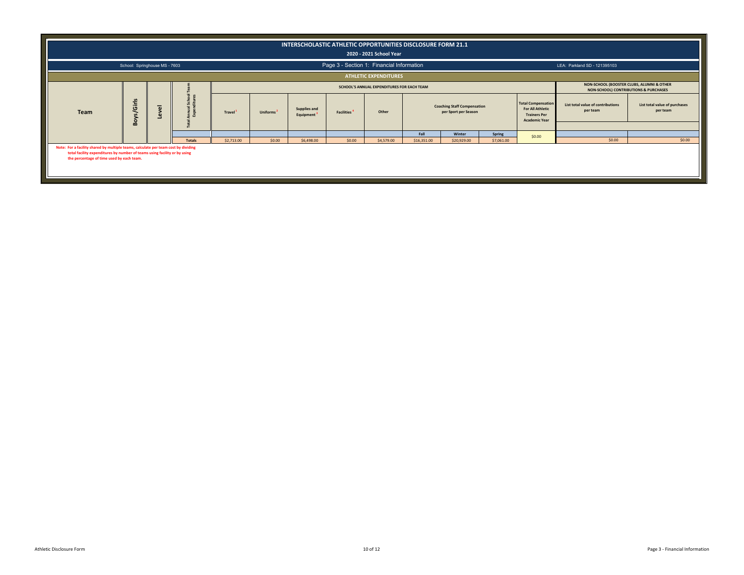|                                                                                                                                                                                                              |                               |                                                                                                                                  |                   |                     |                       | INTERSCHOLASTIC ATHLETIC OPPORTUNITIES DISCLOSURE FORM 21.1 |                   | 2020 - 2021 School Year                   |             |                                                            |            |                                                                                                     |                                               |                                           |
|--------------------------------------------------------------------------------------------------------------------------------------------------------------------------------------------------------------|-------------------------------|----------------------------------------------------------------------------------------------------------------------------------|-------------------|---------------------|-----------------------|-------------------------------------------------------------|-------------------|-------------------------------------------|-------------|------------------------------------------------------------|------------|-----------------------------------------------------------------------------------------------------|-----------------------------------------------|-------------------------------------------|
|                                                                                                                                                                                                              | School: Springhouse MS - 7603 |                                                                                                                                  |                   |                     |                       |                                                             |                   | Page 3 - Section 1: Financial Information |             |                                                            |            |                                                                                                     | LEA: Parkland SD - 121395103                  |                                           |
|                                                                                                                                                                                                              |                               |                                                                                                                                  |                   |                     |                       |                                                             |                   | <b>ATHLETIC EXPENDITURES</b>              |             |                                                            |            |                                                                                                     |                                               |                                           |
|                                                                                                                                                                                                              |                               | NON-SCHOOL (BOOSTER CLUBS, ALUMNI & OTHER<br>SCHOOL'S ANNUAL EXPENDITURES FOR EACH TEAM<br>NON-SCHOOL) CONTRIBUTIONS & PURCHASES |                   |                     |                       |                                                             |                   |                                           |             |                                                            |            |                                                                                                     |                                               |                                           |
| Team                                                                                                                                                                                                         | s/Girls<br>Boy                | $\overline{\omega}$                                                                                                              | School<br>ditures | Travel <sup>1</sup> | Uniforms <sup>2</sup> | Supplies and<br>Equipment <sup>3</sup>                      | <b>Facilities</b> | Other                                     |             | <b>Coaching Staff Compensation</b><br>per Sport per Season |            | <b>Total Compensation</b><br><b>For All Athletic</b><br><b>Trainers Per</b><br><b>Academic Year</b> | List total value of contributions<br>per team | List total value of purchases<br>per team |
|                                                                                                                                                                                                              |                               |                                                                                                                                  |                   |                     |                       |                                                             |                   |                                           | Fall        | Winter                                                     | Spring     |                                                                                                     |                                               |                                           |
|                                                                                                                                                                                                              |                               |                                                                                                                                  | <b>Totals</b>     | \$2,713.00          | \$0.00                | \$6,498.00                                                  | \$0.00            | \$4,579.00                                | \$16,351.00 | \$20,929.00                                                | \$7,061.00 | \$0.00                                                                                              | \$0.00                                        | \$0.00                                    |
| Note: For a facility shared by multiple teams, calculate per team cost by dividing<br>total facility expenditures by number of teams using facility or by using<br>the percentage of time used by each team. |                               |                                                                                                                                  |                   |                     |                       |                                                             |                   |                                           |             |                                                            |            |                                                                                                     |                                               |                                           |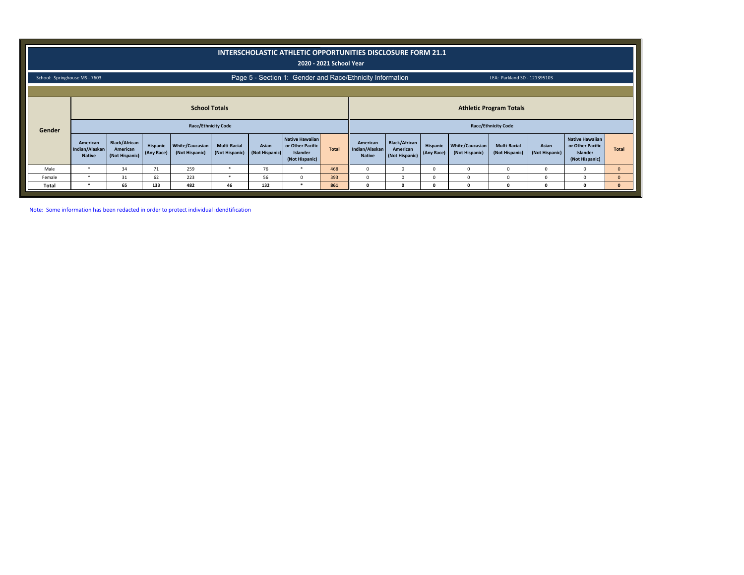|                               |                                             |                                                    |                        |                                          |                                       |                         | INTERSCHOLASTIC ATHLETIC OPPORTUNITIES DISCLOSURE FORM 21.1       | 2020 - 2021 School Year |                                             |                                                    |                        |                                          |                                       |                         |                                                                   |              |
|-------------------------------|---------------------------------------------|----------------------------------------------------|------------------------|------------------------------------------|---------------------------------------|-------------------------|-------------------------------------------------------------------|-------------------------|---------------------------------------------|----------------------------------------------------|------------------------|------------------------------------------|---------------------------------------|-------------------------|-------------------------------------------------------------------|--------------|
| School: Springhouse MS - 7603 |                                             |                                                    |                        |                                          |                                       |                         | Page 5 - Section 1: Gender and Race/Ethnicity Information         |                         |                                             |                                                    |                        |                                          | LEA: Parkland SD - 121395103          |                         |                                                                   |              |
|                               |                                             |                                                    |                        | <b>School Totals</b>                     |                                       |                         |                                                                   |                         |                                             |                                                    |                        |                                          | <b>Athletic Program Totals</b>        |                         |                                                                   |              |
| Gender                        |                                             |                                                    |                        | <b>Race/Ethnicity Code</b>               |                                       |                         |                                                                   |                         |                                             |                                                    |                        |                                          | <b>Race/Ethnicity Code</b>            |                         |                                                                   |              |
|                               | American<br>Indian/Alaskan<br><b>Native</b> | <b>Black/African</b><br>American<br>(Not Hispanic) | Hispanic<br>(Any Race) | <b>White/Caucasian</b><br>(Not Hispanic) | <b>Multi-Racial</b><br>(Not Hispanic) | Asian<br>(Not Hispanic) | Native Hawaiian<br>or Other Pacific<br>Islander<br>(Not Hispanic) | <b>Total</b>            | American<br>Indian/Alaskan<br><b>Native</b> | <b>Black/African</b><br>American<br>(Not Hispanic) | Hispanic<br>(Any Race) | <b>White/Caucasian</b><br>(Not Hispanic) | <b>Multi-Racial</b><br>(Not Hispanic) | Asian<br>(Not Hispanic) | Native Hawaiian<br>or Other Pacific<br>Islander<br>(Not Hispanic) | <b>Total</b> |
| Male                          | $\ast$                                      | 34                                                 | 71                     | 259                                      |                                       | 76                      |                                                                   | 468                     | $\mathbf 0$                                 | 0                                                  | $^{\circ}$             | $\mathbf 0$                              | $\mathbf 0$                           | 0                       | $\Omega$                                                          | $\mathbf{0}$ |
| Female                        | $\star$                                     | 31                                                 | 62                     | 223                                      |                                       | 56                      | $\Omega$                                                          | 393                     | $\Omega$                                    | $\Omega$                                           | $\Omega$               | $\Omega$                                 | $\Omega$                              | $\Omega$                | $\Omega$                                                          | $\mathbf{0}$ |
| Total                         | *                                           | 65                                                 | 133                    | 482                                      | 46                                    | 132                     | - 18                                                              | 861                     | $\Omega$                                    | n                                                  | <sup>0</sup>           |                                          |                                       | 0                       |                                                                   | $\mathbf{0}$ |

Note: Some information has been redacted in order to protect individual idendtification